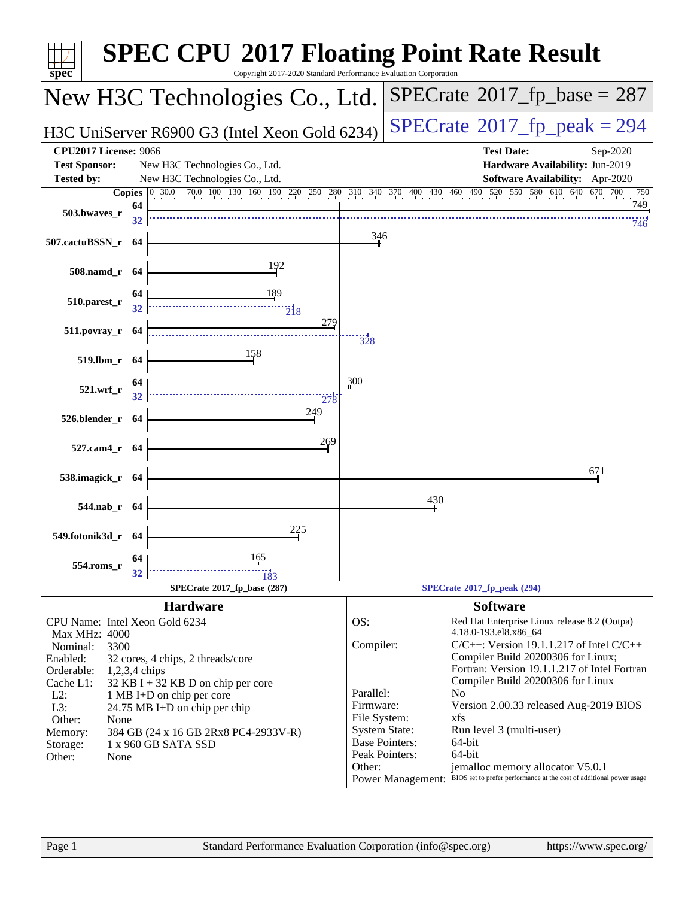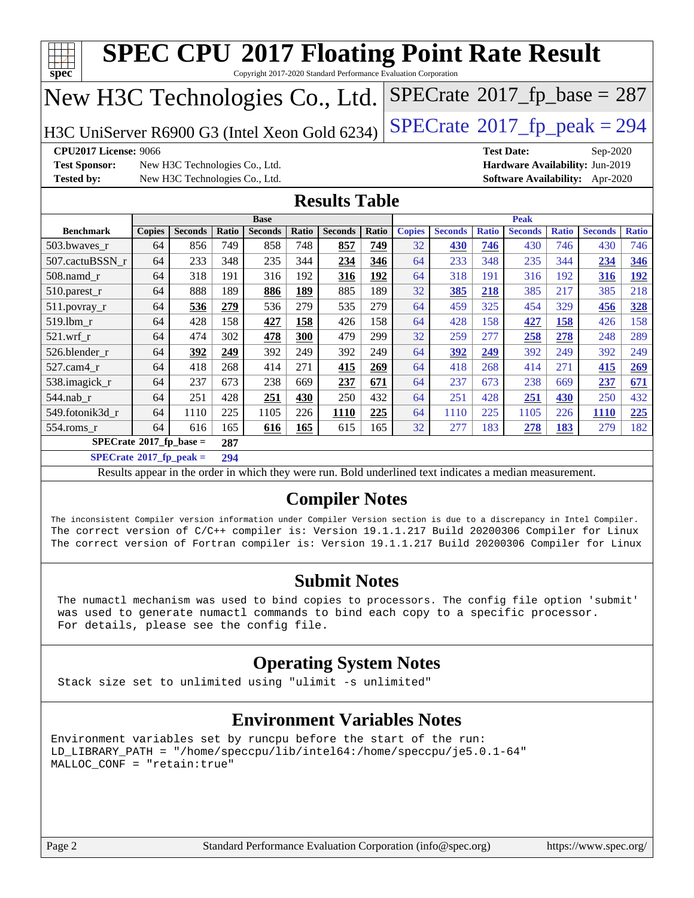|                                                                                                                                                                                                                                                                                                                                                                                                                                                                    | $SPECTate$ <sup>®</sup> 2017_fp_base = 287<br>New H3C Technologies Co., Ltd.    |                                                                  |            |                |            |                      |            |               |                |              |                   |              |                                                                                |              |
|--------------------------------------------------------------------------------------------------------------------------------------------------------------------------------------------------------------------------------------------------------------------------------------------------------------------------------------------------------------------------------------------------------------------------------------------------------------------|---------------------------------------------------------------------------------|------------------------------------------------------------------|------------|----------------|------------|----------------------|------------|---------------|----------------|--------------|-------------------|--------------|--------------------------------------------------------------------------------|--------------|
|                                                                                                                                                                                                                                                                                                                                                                                                                                                                    | $SPECTate@2017_fp\_peak = 294$<br>H3C UniServer R6900 G3 (Intel Xeon Gold 6234) |                                                                  |            |                |            |                      |            |               |                |              |                   |              |                                                                                |              |
| CPU2017 License: 9066<br><b>Test Sponsor:</b><br><b>Tested by:</b>                                                                                                                                                                                                                                                                                                                                                                                                 |                                                                                 | New H3C Technologies Co., Ltd.<br>New H3C Technologies Co., Ltd. |            |                |            |                      |            |               |                |              | <b>Test Date:</b> |              | Sep-2020<br>Hardware Availability: Jun-2019<br>Software Availability: Apr-2020 |              |
|                                                                                                                                                                                                                                                                                                                                                                                                                                                                    |                                                                                 |                                                                  |            |                |            | <b>Results Table</b> |            |               |                |              |                   |              |                                                                                |              |
|                                                                                                                                                                                                                                                                                                                                                                                                                                                                    |                                                                                 |                                                                  |            | <b>Base</b>    |            |                      |            |               |                |              | <b>Peak</b>       |              |                                                                                |              |
| <b>Benchmark</b>                                                                                                                                                                                                                                                                                                                                                                                                                                                   | <b>Copies</b>                                                                   | <b>Seconds</b>                                                   | Ratio      | <b>Seconds</b> | Ratio      | <b>Seconds</b>       | Ratio      | <b>Copies</b> | <b>Seconds</b> | <b>Ratio</b> | <b>Seconds</b>    | <b>Ratio</b> | <b>Seconds</b>                                                                 | <b>Ratio</b> |
| 503.bwayes r                                                                                                                                                                                                                                                                                                                                                                                                                                                       | 64                                                                              | 856                                                              | 749<br>348 | 858            | 748        | 857                  | 749        | 32            | 430            | 746          | 430               | 746<br>344   | 430                                                                            | 746          |
| 507.cactuBSSN r                                                                                                                                                                                                                                                                                                                                                                                                                                                    | 64                                                                              | 233<br>318                                                       | 191        | 235            | 344<br>192 | 234                  | 346<br>192 | 64<br>64      | 233<br>318     | 348          | 235<br>316        | 192          | 234                                                                            | 346<br>192   |
| $508$ .namd $r$                                                                                                                                                                                                                                                                                                                                                                                                                                                    | 64<br>64                                                                        | 888                                                              | 189        | 316<br>886     | <b>189</b> | 316<br>885           | 189        | 32            | 385            | 191<br>218   | 385               | 217          | 316<br>385                                                                     | 218          |
| 510.parest_r<br>511.povray_r                                                                                                                                                                                                                                                                                                                                                                                                                                       | 64                                                                              | 536                                                              | 279        | 536            | 279        | 535                  | 279        | 64            | 459            | 325          | 454               | 329          | 456                                                                            | 328          |
| 519.1bm r                                                                                                                                                                                                                                                                                                                                                                                                                                                          | 64                                                                              | 428                                                              | 158        | 427            | 158        | 426                  | 158        | 64            | 428            | 158          | 427               | 158          | 426                                                                            | 158          |
| $521.wrf_r$                                                                                                                                                                                                                                                                                                                                                                                                                                                        | 64                                                                              | 474                                                              | 302        | 478            | 300        | 479                  | 299        | 32            | 259            | 277          | 258               | 278          | 248                                                                            | 289          |
| 526.blender_r                                                                                                                                                                                                                                                                                                                                                                                                                                                      | 64                                                                              | 392                                                              | 249        | 392            | 249        | 392                  | 249        | 64            | 392            | 249          | 392               | 249          | 392                                                                            | 249          |
| 527.cam4 r                                                                                                                                                                                                                                                                                                                                                                                                                                                         | 64                                                                              | 418                                                              | 268        | 414            | 271        | 415                  | 269        | 64            | 418            | 268          | 414               | 271          | 415                                                                            | 269          |
| 538.imagick_r                                                                                                                                                                                                                                                                                                                                                                                                                                                      | 64                                                                              | 237                                                              | 673        | 238            | 669        | 237                  | 671        | 64            | 237            | 673          | 238               | 669          | 237                                                                            | 671          |
| 544.nab r                                                                                                                                                                                                                                                                                                                                                                                                                                                          | 64                                                                              | 251                                                              | 428        | 251            | 430        | 250                  | 432        | 64            | 251            | 428          | 251               | 430          | 250                                                                            | 432          |
| 549.fotonik3d r                                                                                                                                                                                                                                                                                                                                                                                                                                                    | 64                                                                              | 1110                                                             | 225        | 1105           | 226        | 1110                 | 225        | 64            | 1110           | 225          | 1105              | 226          | 1110                                                                           | 225          |
| 554.roms_r                                                                                                                                                                                                                                                                                                                                                                                                                                                         | 64                                                                              | 616                                                              | 165        | 616            | 165        | 615                  | 165        | 32            | 277            | 183          | 278               | 183          | 279                                                                            | 182          |
| $SPECrate$ <sup>8</sup> 2017_fp_base =                                                                                                                                                                                                                                                                                                                                                                                                                             |                                                                                 |                                                                  | 287        |                |            |                      |            |               |                |              |                   |              |                                                                                |              |
| $SPECrate^{\circ}2017$ _fp_peak =                                                                                                                                                                                                                                                                                                                                                                                                                                  |                                                                                 |                                                                  | 294        |                |            |                      |            |               |                |              |                   |              |                                                                                |              |
|                                                                                                                                                                                                                                                                                                                                                                                                                                                                    |                                                                                 |                                                                  |            |                |            |                      |            |               |                |              |                   |              |                                                                                |              |
| Results appear in the order in which they were run. Bold underlined text indicates a median measurement.<br><b>Compiler Notes</b><br>The inconsistent Compiler version information under Compiler Version section is due to a discrepancy in Intel Compiler.<br>The correct version of C/C++ compiler is: Version 19.1.1.217 Build 20200306 Compiler for Linux<br>The correct version of Fortran compiler is: Version 19.1.1.217 Build 20200306 Compiler for Linux |                                                                                 |                                                                  |            |                |            |                      |            |               |                |              |                   |              |                                                                                |              |

 The numactl mechanism was used to bind copies to processors. The config file option 'submit' was used to generate numactl commands to bind each copy to a specific processor. For details, please see the config file.

#### **[Operating System Notes](http://www.spec.org/auto/cpu2017/Docs/result-fields.html#OperatingSystemNotes)**

Stack size set to unlimited using "ulimit -s unlimited"

#### **[Environment Variables Notes](http://www.spec.org/auto/cpu2017/Docs/result-fields.html#EnvironmentVariablesNotes)**

Environment variables set by runcpu before the start of the run: LD\_LIBRARY\_PATH = "/home/speccpu/lib/intel64:/home/speccpu/je5.0.1-64" MALLOC\_CONF = "retain:true"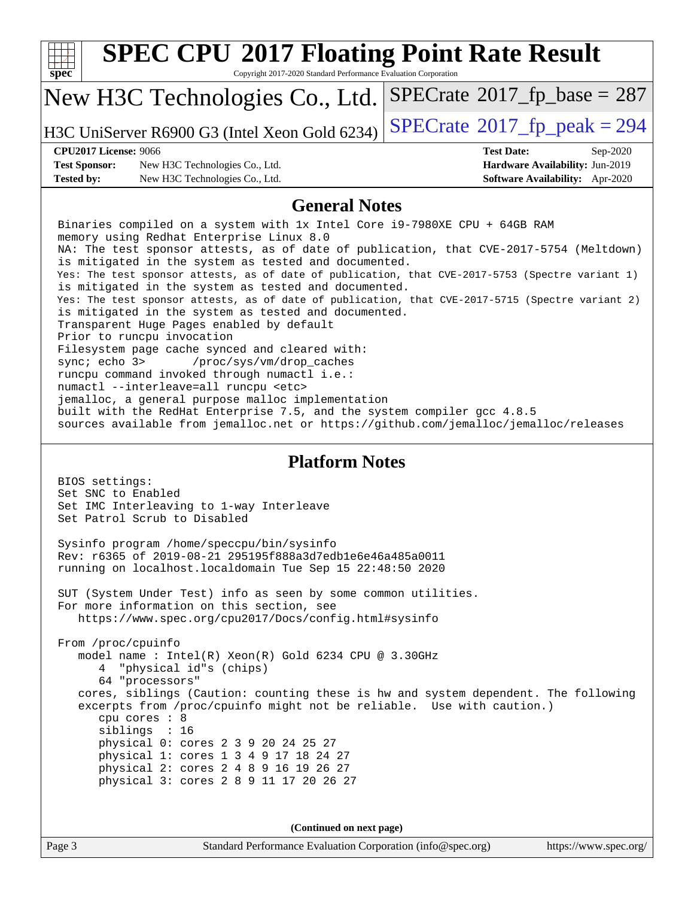| <b>SPEC CPU®2017 Floating Point Rate Result</b>                                                                                                                                                                      |                                                                           |  |  |  |  |
|----------------------------------------------------------------------------------------------------------------------------------------------------------------------------------------------------------------------|---------------------------------------------------------------------------|--|--|--|--|
| $\overline{\text{spec}^*}$<br>Copyright 2017-2020 Standard Performance Evaluation Corporation                                                                                                                        |                                                                           |  |  |  |  |
| New H3C Technologies Co., Ltd.                                                                                                                                                                                       | $SPECrate^{\circ}2017$ [p base = 287                                      |  |  |  |  |
| H3C UniServer R6900 G3 (Intel Xeon Gold 6234)                                                                                                                                                                        | $SPECTate@2017_fp\_peak = 294$                                            |  |  |  |  |
| <b>CPU2017 License: 9066</b>                                                                                                                                                                                         | <b>Test Date:</b><br>Sep-2020                                             |  |  |  |  |
| <b>Test Sponsor:</b><br>New H3C Technologies Co., Ltd.<br><b>Tested by:</b><br>New H3C Technologies Co., Ltd.                                                                                                        | Hardware Availability: Jun-2019<br><b>Software Availability:</b> Apr-2020 |  |  |  |  |
| <b>General Notes</b>                                                                                                                                                                                                 |                                                                           |  |  |  |  |
| Binaries compiled on a system with 1x Intel Core i9-7980XE CPU + 64GB RAM                                                                                                                                            |                                                                           |  |  |  |  |
| memory using Redhat Enterprise Linux 8.0                                                                                                                                                                             |                                                                           |  |  |  |  |
| NA: The test sponsor attests, as of date of publication, that CVE-2017-5754 (Meltdown)<br>is mitigated in the system as tested and documented.                                                                       |                                                                           |  |  |  |  |
| Yes: The test sponsor attests, as of date of publication, that CVE-2017-5753 (Spectre variant 1)<br>is mitigated in the system as tested and documented.                                                             |                                                                           |  |  |  |  |
| Yes: The test sponsor attests, as of date of publication, that CVE-2017-5715 (Spectre variant 2)<br>is mitigated in the system as tested and documented.                                                             |                                                                           |  |  |  |  |
| Transparent Huge Pages enabled by default<br>Prior to runcpu invocation                                                                                                                                              |                                                                           |  |  |  |  |
| Filesystem page cache synced and cleared with:                                                                                                                                                                       |                                                                           |  |  |  |  |
| /proc/sys/vm/drop_caches<br>sync $i$ echo $3$<br>runcpu command invoked through numactl i.e.:                                                                                                                        |                                                                           |  |  |  |  |
| numactl --interleave=all runcpu <etc></etc>                                                                                                                                                                          |                                                                           |  |  |  |  |
| jemalloc, a general purpose malloc implementation<br>built with the RedHat Enterprise 7.5, and the system compiler gcc 4.8.5<br>sources available from jemalloc.net or https://github.com/jemalloc/jemalloc/releases |                                                                           |  |  |  |  |
| <b>Platform Notes</b>                                                                                                                                                                                                |                                                                           |  |  |  |  |
| BIOS settings:                                                                                                                                                                                                       |                                                                           |  |  |  |  |
| Set SNC to Enabled<br>Set IMC Interleaving to 1-way Interleave                                                                                                                                                       |                                                                           |  |  |  |  |
| Set Patrol Scrub to Disabled                                                                                                                                                                                         |                                                                           |  |  |  |  |
| Sysinfo program /home/speccpu/bin/sysinfo                                                                                                                                                                            |                                                                           |  |  |  |  |
| Rev: r6365 of 2019-08-21 295195f888a3d7edble6e46a485a0011<br>running on localhost.localdomain Tue Sep 15 22:48:50 2020                                                                                               |                                                                           |  |  |  |  |
| SUT (System Under Test) info as seen by some common utilities.                                                                                                                                                       |                                                                           |  |  |  |  |
| For more information on this section, see<br>https://www.spec.org/cpu2017/Docs/config.html#sysinfo                                                                                                                   |                                                                           |  |  |  |  |
|                                                                                                                                                                                                                      |                                                                           |  |  |  |  |
| From /proc/cpuinfo<br>model name : Intel(R) Xeon(R) Gold 6234 CPU @ 3.30GHz                                                                                                                                          |                                                                           |  |  |  |  |
| "physical id"s (chips)                                                                                                                                                                                               |                                                                           |  |  |  |  |
| 64 "processors"                                                                                                                                                                                                      |                                                                           |  |  |  |  |
| cores, siblings (Caution: counting these is hw and system dependent. The following<br>excerpts from /proc/cpuinfo might not be reliable. Use with caution.)                                                          |                                                                           |  |  |  |  |
| cpu cores : 8<br>siblings : 16                                                                                                                                                                                       |                                                                           |  |  |  |  |
| physical 0: cores 2 3 9 20 24 25 27                                                                                                                                                                                  |                                                                           |  |  |  |  |
| physical 1: cores 1 3 4 9 17 18 24 27                                                                                                                                                                                |                                                                           |  |  |  |  |
| physical 2: cores 2 4 8 9 16 19 26 27<br>physical 3: cores 2 8 9 11 17 20 26 27                                                                                                                                      |                                                                           |  |  |  |  |
|                                                                                                                                                                                                                      |                                                                           |  |  |  |  |
|                                                                                                                                                                                                                      |                                                                           |  |  |  |  |
| (Continued on next page)<br>Page 3<br>Standard Performance Evaluation Corporation (info@spec.org)                                                                                                                    | https://www.spec.org/                                                     |  |  |  |  |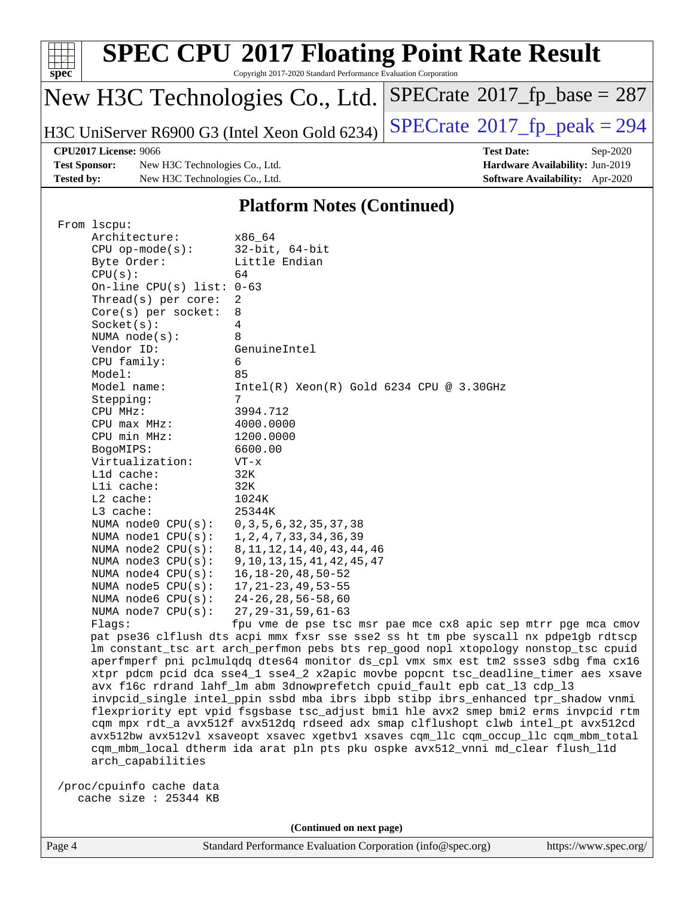| <b>SPEC CPU®2017 Floating Point Rate Result</b><br>$Spec^*$<br>Copyright 2017-2020 Standard Performance Evaluation Corporation |                                               |                                             |  |  |
|--------------------------------------------------------------------------------------------------------------------------------|-----------------------------------------------|---------------------------------------------|--|--|
|                                                                                                                                | New H3C Technologies Co., Ltd.                | $SPECrate^{\circ}2017_fp\_base = 287$       |  |  |
|                                                                                                                                | H3C UniServer R6900 G3 (Intel Xeon Gold 6234) | $SPECrate^{\circledcirc}2017$ fp peak = 294 |  |  |
| <b>CPU2017 License: 9066</b>                                                                                                   |                                               | <b>Test Date:</b><br>$Sep-2020$             |  |  |
| <b>Test Sponsor:</b>                                                                                                           | New H3C Technologies Co., Ltd.                | Hardware Availability: Jun-2019             |  |  |
| <b>Tested by:</b>                                                                                                              | New H3C Technologies Co., Ltd.                | Software Availability: Apr-2020             |  |  |
| <b>Platform Notes (Continued)</b>                                                                                              |                                               |                                             |  |  |

| From 1scpu:                 |                                                                   |
|-----------------------------|-------------------------------------------------------------------|
| Architecture:               | x86 64                                                            |
| $CPU$ op-mode(s):           | $32$ -bit, $64$ -bit                                              |
| Byte Order:                 | Little Endian                                                     |
| CPU(s):                     | 64                                                                |
| On-line CPU(s) list: $0-63$ |                                                                   |
| Thread( $s$ ) per core:     | 2                                                                 |
| Core(s) per socket:         | 8                                                                 |
| Socket(s):                  | 4                                                                 |
| NUMA $node(s):$             | 8                                                                 |
| Vendor ID:                  | GenuineIntel                                                      |
| CPU family:                 | 6                                                                 |
| Model:                      | 85                                                                |
| Model name:                 | $Intel(R)$ Xeon $(R)$ Gold 6234 CPU @ 3.30GHz                     |
| Stepping:                   | 7                                                                 |
| CPU MHz:                    | 3994.712                                                          |
| $CPU$ max $MHz$ :           | 4000.0000                                                         |
| CPU min MHz:                | 1200.0000                                                         |
| BogoMIPS:                   | 6600.00                                                           |
| Virtualization:             | $VT - x$                                                          |
| L1d cache:                  | 32K                                                               |
| Lli cache:                  | 32K                                                               |
| $L2$ cache:                 | 1024K                                                             |
| $L3$ cache:                 | 25344K                                                            |
| NUMA node0 CPU(s):          | 0, 3, 5, 6, 32, 35, 37, 38                                        |
| NUMA nodel CPU(s):          | 1, 2, 4, 7, 33, 34, 36, 39                                        |
| NUMA $node2$ $CPU(s):$      | 8, 11, 12, 14, 40, 43, 44, 46                                     |
| NUMA node3 CPU(s):          | 9, 10, 13, 15, 41, 42, 45, 47                                     |
| NUMA node4 CPU(s):          | $16, 18 - 20, 48, 50 - 52$                                        |
| NUMA node5 CPU(s):          | $17, 21 - 23, 49, 53 - 55$                                        |
| NUMA $node6$ $CPU(s):$      | $24 - 26$ , 28, 56 - 58, 60                                       |
| NUMA node7 CPU(s):          | $27, 29 - 31, 59, 61 - 63$                                        |
| Flaqs:                      | fpu vme de pse tsc msr pae mce cx8 apic sep                       |
|                             | pat pse36 clflush dts acpi mmx fxsr sse sse2 ss ht tm pbe syscall |
|                             | Im constant_tsc art arch_perfmon pebs bts rep_good nopl xtopology |

nx pdpe1gb rdtscp nonstop\_tsc cpuid aperfmperf pni pclmulqdq dtes64 monitor ds\_cpl vmx smx est tm2 ssse3 sdbg fma cx16 xtpr pdcm pcid dca sse4\_1 sse4\_2 x2apic movbe popcnt tsc\_deadline\_timer aes xsave avx f16c rdrand lahf\_lm abm 3dnowprefetch cpuid\_fault epb cat\_l3 cdp\_l3 invpcid\_single intel\_ppin ssbd mba ibrs ibpb stibp ibrs\_enhanced tpr\_shadow vnmi flexpriority ept vpid fsgsbase tsc\_adjust bmi1 hle avx2 smep bmi2 erms invpcid rtm cqm mpx rdt\_a avx512f avx512dq rdseed adx smap clflushopt clwb intel\_pt avx512cd avx512bw avx512vl xsaveopt xsavec xgetbv1 xsaves cqm\_llc cqm\_occup\_llc cqm\_mbm\_total cqm\_mbm\_local dtherm ida arat pln pts pku ospke avx512\_vnni md\_clear flush\_l1d arch\_capabilities

 /proc/cpuinfo cache data cache size : 25344 KB

**(Continued on next page)**

mtrr pge mca cmov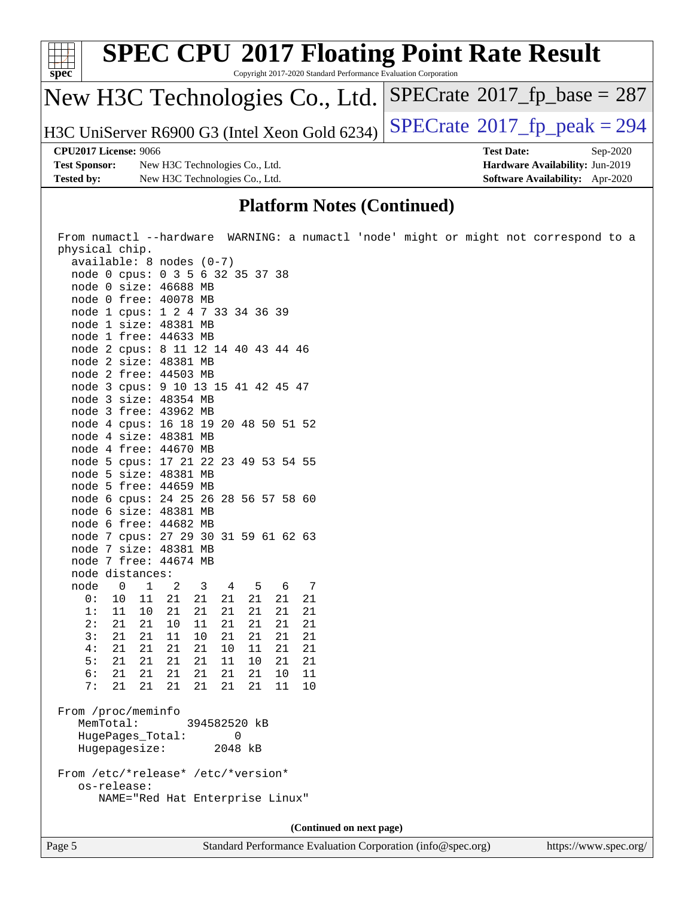| spec*                | <b>SPEC CPU®2017 Floating Point Rate Result</b><br>Copyright 2017-2020 Standard Performance Evaluation Corporation |                                            |
|----------------------|--------------------------------------------------------------------------------------------------------------------|--------------------------------------------|
|                      | New H3C Technologies Co., Ltd.                                                                                     | $SPECrate^{\circ}2017$ _fp_base = 287      |
|                      | H3C UniServer R6900 G3 (Intel Xeon Gold 6234)                                                                      | $SPECTate$ <sup>®</sup> 2017_fp_peak = 294 |
|                      | <b>CPU2017 License: 9066</b>                                                                                       | <b>Test Date:</b><br>Sep-2020              |
| <b>Test Sponsor:</b> | New H3C Technologies Co., Ltd.                                                                                     | Hardware Availability: Jun-2019            |
| <b>Tested by:</b>    | New H3C Technologies Co., Ltd.                                                                                     | Software Availability: Apr-2020            |
|                      |                                                                                                                    |                                            |

#### **[Platform Notes \(Continued\)](http://www.spec.org/auto/cpu2017/Docs/result-fields.html#PlatformNotes)**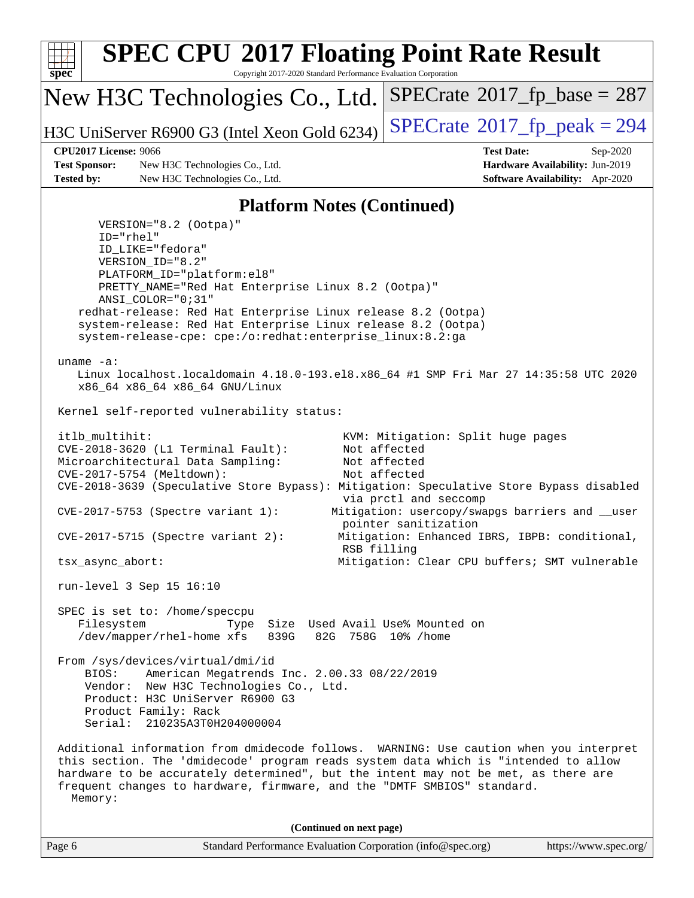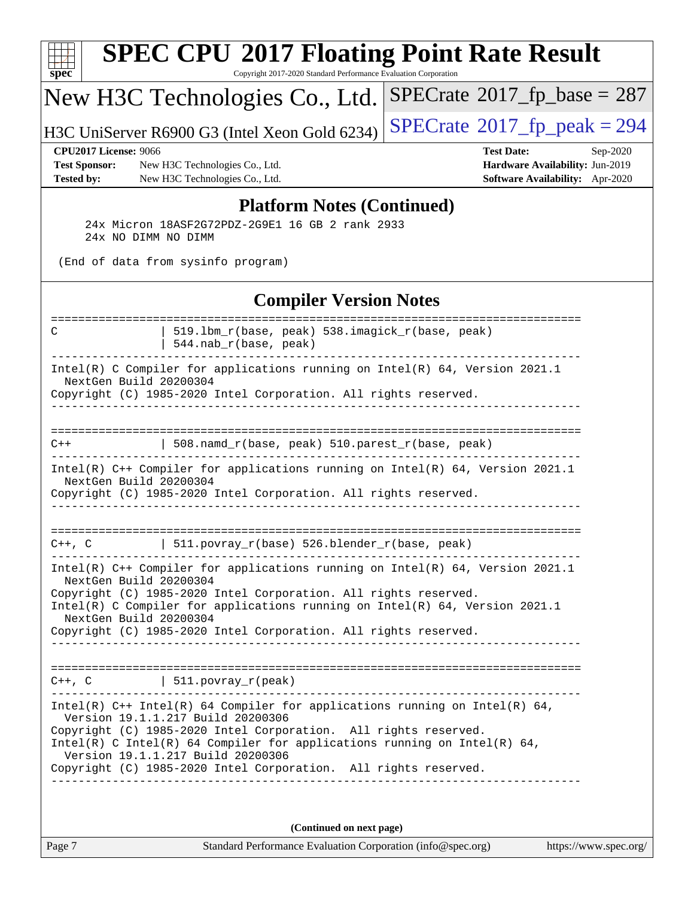| $spec^*$                                                                  | <b>SPEC CPU®2017 Floating Point Rate Result</b><br>Copyright 2017-2020 Standard Performance Evaluation Corporation                                                                                                                                                                                                                                                     |                                                                                                            |
|---------------------------------------------------------------------------|------------------------------------------------------------------------------------------------------------------------------------------------------------------------------------------------------------------------------------------------------------------------------------------------------------------------------------------------------------------------|------------------------------------------------------------------------------------------------------------|
|                                                                           | New H3C Technologies Co., Ltd.                                                                                                                                                                                                                                                                                                                                         | $SPECrate^{\circ}2017$ fp base = 287                                                                       |
|                                                                           | H3C UniServer R6900 G3 (Intel Xeon Gold 6234)                                                                                                                                                                                                                                                                                                                          | $SPECTate@2017_fp\_peak = 294$                                                                             |
| <b>CPU2017 License: 9066</b><br><b>Test Sponsor:</b><br><b>Tested by:</b> | New H3C Technologies Co., Ltd.<br>New H3C Technologies Co., Ltd.                                                                                                                                                                                                                                                                                                       | <b>Test Date:</b><br>Sep-2020<br>Hardware Availability: Jun-2019<br><b>Software Availability:</b> Apr-2020 |
|                                                                           | <b>Platform Notes (Continued)</b><br>24x Micron 18ASF2G72PDZ-2G9E1 16 GB 2 rank 2933<br>24x NO DIMM NO DIMM                                                                                                                                                                                                                                                            |                                                                                                            |
|                                                                           | (End of data from sysinfo program)                                                                                                                                                                                                                                                                                                                                     |                                                                                                            |
|                                                                           | <b>Compiler Version Notes</b>                                                                                                                                                                                                                                                                                                                                          |                                                                                                            |
| C                                                                         | 519.1bm_r(base, peak) 538.imagick_r(base, peak)<br>$544.nab_r(base, peak)$                                                                                                                                                                                                                                                                                             |                                                                                                            |
|                                                                           | Intel(R) C Compiler for applications running on Intel(R) 64, Version 2021.1<br>NextGen Build 20200304<br>Copyright (C) 1985-2020 Intel Corporation. All rights reserved.                                                                                                                                                                                               |                                                                                                            |
| $C++$                                                                     | 508.namd_r(base, peak) 510.parest_r(base, peak)                                                                                                                                                                                                                                                                                                                        |                                                                                                            |
|                                                                           | Intel(R) C++ Compiler for applications running on Intel(R) 64, Version 2021.1<br>NextGen Build 20200304<br>Copyright (C) 1985-2020 Intel Corporation. All rights reserved.                                                                                                                                                                                             |                                                                                                            |
| C++, C                                                                    | 511.povray_r(base) 526.blender_r(base, peak)                                                                                                                                                                                                                                                                                                                           |                                                                                                            |
|                                                                           | Intel(R) $C++$ Compiler for applications running on Intel(R) 64, Version 2021.1<br>NextGen Build 20200304<br>Copyright (C) 1985-2020 Intel Corporation. All rights reserved.<br>Intel(R) C Compiler for applications running on $Intel(R) 64$ , Version 2021.1<br>NextGen Build 20200304<br>Copyright (C) 1985-2020 Intel Corporation. All rights reserved.            |                                                                                                            |
|                                                                           | $C++$ , C $\qquad \qquad \vert$ 511.povray_r(peak)                                                                                                                                                                                                                                                                                                                     |                                                                                                            |
|                                                                           | Intel(R) C++ Intel(R) 64 Compiler for applications running on Intel(R) 64,<br>Version 19.1.1.217 Build 20200306<br>Copyright (C) 1985-2020 Intel Corporation. All rights reserved.<br>Intel(R) C Intel(R) 64 Compiler for applications running on Intel(R) 64,<br>Version 19.1.1.217 Build 20200306<br>Copyright (C) 1985-2020 Intel Corporation. All rights reserved. |                                                                                                            |
|                                                                           | (Continued on next page)                                                                                                                                                                                                                                                                                                                                               |                                                                                                            |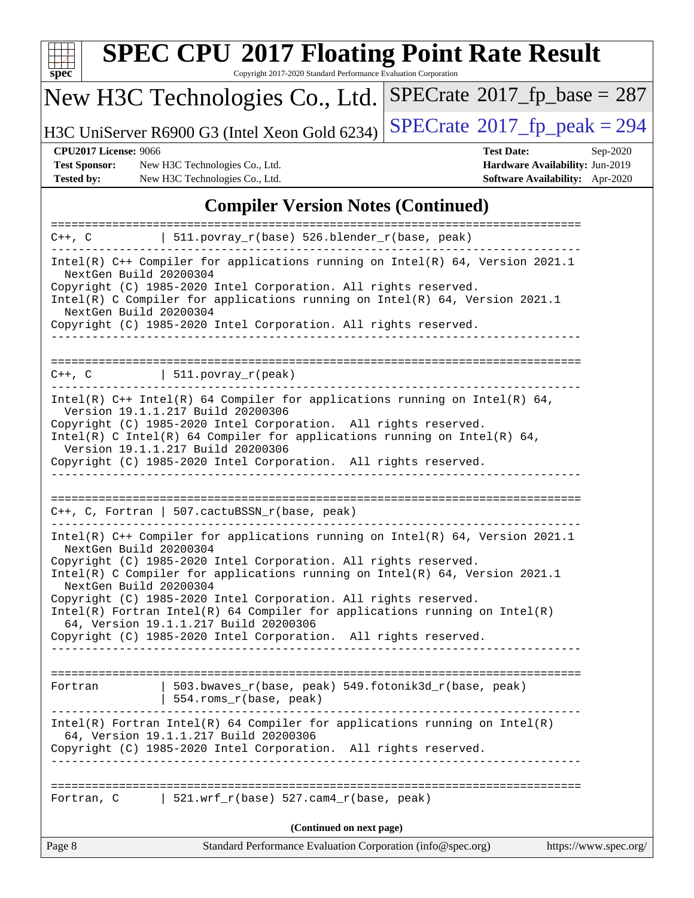

Copyright 2017-2020 Standard Performance Evaluation Corporation

## New H3C Technologies Co., Ltd.

H3C UniServer R6900 G3 (Intel Xeon Gold 6234) [SPECrate](http://www.spec.org/auto/cpu2017/Docs/result-fields.html#SPECrate2017fppeak)®[2017\\_fp\\_peak = 2](http://www.spec.org/auto/cpu2017/Docs/result-fields.html#SPECrate2017fppeak)94

 $SPECTate@2017_fp\_base = 287$ 

**[Test Sponsor:](http://www.spec.org/auto/cpu2017/Docs/result-fields.html#TestSponsor)** New H3C Technologies Co., Ltd. **[Hardware Availability:](http://www.spec.org/auto/cpu2017/Docs/result-fields.html#HardwareAvailability)** Jun-2019 **[Tested by:](http://www.spec.org/auto/cpu2017/Docs/result-fields.html#Testedby)** New H3C Technologies Co., Ltd. **[Software Availability:](http://www.spec.org/auto/cpu2017/Docs/result-fields.html#SoftwareAvailability)** Apr-2020

**[CPU2017 License:](http://www.spec.org/auto/cpu2017/Docs/result-fields.html#CPU2017License)** 9066 **[Test Date:](http://www.spec.org/auto/cpu2017/Docs/result-fields.html#TestDate)** Sep-2020

#### **[Compiler Version Notes \(Continued\)](http://www.spec.org/auto/cpu2017/Docs/result-fields.html#CompilerVersionNotes)**

|                                                                                                                                                                                                                                                                                          | $C++$ , C $\vert$ 511.povray_r(base) 526.blender_r(base, peak)                                                                                                                                                                                                                                                                                                                                                                   |                       |  |  |
|------------------------------------------------------------------------------------------------------------------------------------------------------------------------------------------------------------------------------------------------------------------------------------------|----------------------------------------------------------------------------------------------------------------------------------------------------------------------------------------------------------------------------------------------------------------------------------------------------------------------------------------------------------------------------------------------------------------------------------|-----------------------|--|--|
| Intel(R) $C++$ Compiler for applications running on Intel(R) 64, Version 2021.1<br>NextGen Build 20200304<br>Copyright (C) 1985-2020 Intel Corporation. All rights reserved.<br>Intel(R) C Compiler for applications running on Intel(R) $64$ , Version 2021.1<br>NextGen Build 20200304 |                                                                                                                                                                                                                                                                                                                                                                                                                                  |                       |  |  |
|                                                                                                                                                                                                                                                                                          | Copyright (C) 1985-2020 Intel Corporation. All rights reserved.                                                                                                                                                                                                                                                                                                                                                                  |                       |  |  |
|                                                                                                                                                                                                                                                                                          | $C++$ , $C$   511.povray_r(peak)                                                                                                                                                                                                                                                                                                                                                                                                 |                       |  |  |
|                                                                                                                                                                                                                                                                                          | Intel(R) $C++$ Intel(R) 64 Compiler for applications running on Intel(R) 64,<br>Version 19.1.1.217 Build 20200306<br>Copyright (C) 1985-2020 Intel Corporation. All rights reserved.<br>Intel(R) C Intel(R) 64 Compiler for applications running on Intel(R) 64,<br>Version 19.1.1.217 Build 20200306<br>Copyright (C) 1985-2020 Intel Corporation. All rights reserved.                                                         |                       |  |  |
|                                                                                                                                                                                                                                                                                          |                                                                                                                                                                                                                                                                                                                                                                                                                                  |                       |  |  |
|                                                                                                                                                                                                                                                                                          | $C++$ , C, Fortran   507.cactuBSSN_r(base, peak)                                                                                                                                                                                                                                                                                                                                                                                 |                       |  |  |
| NextGen Build 20200304<br>NextGen Build 20200304                                                                                                                                                                                                                                         | Intel(R) $C++$ Compiler for applications running on Intel(R) 64, Version 2021.1<br>Copyright (C) 1985-2020 Intel Corporation. All rights reserved.<br>Intel(R) C Compiler for applications running on $Intel(R) 64$ , Version 2021.1<br>Copyright (C) 1985-2020 Intel Corporation. All rights reserved.<br>Intel(R) Fortran Intel(R) 64 Compiler for applications running on $Intel(R)$<br>64, Version 19.1.1.217 Build 20200306 |                       |  |  |
|                                                                                                                                                                                                                                                                                          | Copyright (C) 1985-2020 Intel Corporation. All rights reserved.                                                                                                                                                                                                                                                                                                                                                                  |                       |  |  |
| Fortran                                                                                                                                                                                                                                                                                  | 503.bwaves_r(base, peak) 549.fotonik3d_r(base, peak)<br>$\vert$ 554.roms_r(base, peak)                                                                                                                                                                                                                                                                                                                                           |                       |  |  |
|                                                                                                                                                                                                                                                                                          | $Intel(R)$ Fortran Intel(R) 64 Compiler for applications running on Intel(R)<br>64, Version 19.1.1.217 Build 20200306<br>Copyright (C) 1985-2020 Intel Corporation. All rights reserved.<br>____________________________________                                                                                                                                                                                                 |                       |  |  |
|                                                                                                                                                                                                                                                                                          | Fortran, C $\vert$ 521.wrf_r(base) 527.cam4_r(base, peak)                                                                                                                                                                                                                                                                                                                                                                        |                       |  |  |
|                                                                                                                                                                                                                                                                                          | (Continued on next page)                                                                                                                                                                                                                                                                                                                                                                                                         |                       |  |  |
| Page 8                                                                                                                                                                                                                                                                                   | Standard Performance Evaluation Corporation (info@spec.org)                                                                                                                                                                                                                                                                                                                                                                      | https://www.spec.org/ |  |  |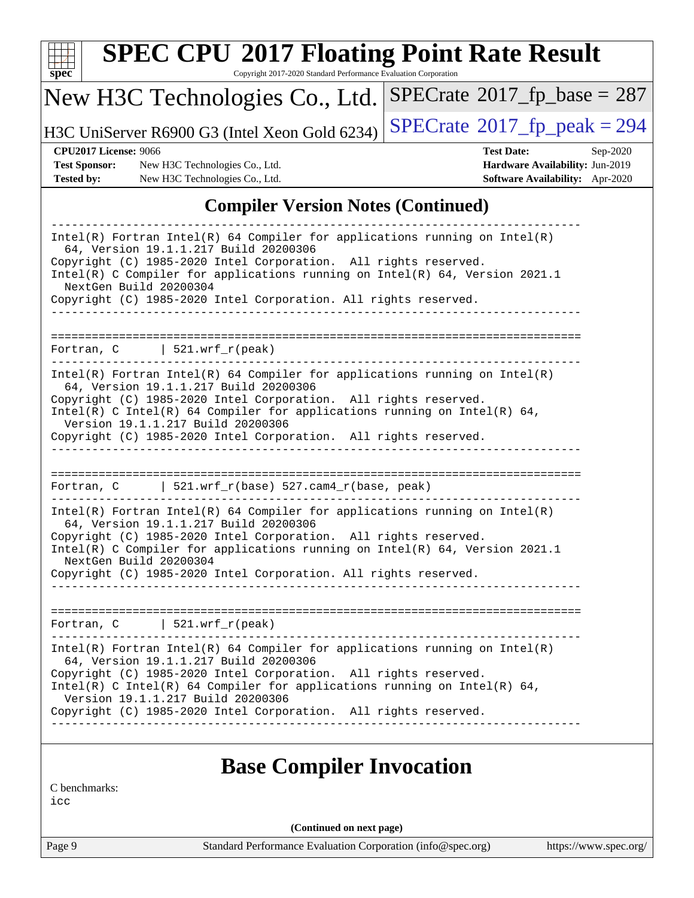| $\bar{\mathbf{spec}^*}$ |  |
|-------------------------|--|
|                         |  |

Copyright 2017-2020 Standard Performance Evaluation Corporation

## New H3C Technologies Co., Ltd.

H3C UniServer R6900 G3 (Intel Xeon Gold 6234) [SPECrate](http://www.spec.org/auto/cpu2017/Docs/result-fields.html#SPECrate2017fppeak)®[2017\\_fp\\_peak = 2](http://www.spec.org/auto/cpu2017/Docs/result-fields.html#SPECrate2017fppeak)94

**[Test Sponsor:](http://www.spec.org/auto/cpu2017/Docs/result-fields.html#TestSponsor)** New H3C Technologies Co., Ltd. **[Hardware Availability:](http://www.spec.org/auto/cpu2017/Docs/result-fields.html#HardwareAvailability)** Jun-2019 **[Tested by:](http://www.spec.org/auto/cpu2017/Docs/result-fields.html#Testedby)** New H3C Technologies Co., Ltd. **[Software Availability:](http://www.spec.org/auto/cpu2017/Docs/result-fields.html#SoftwareAvailability)** Apr-2020

**[CPU2017 License:](http://www.spec.org/auto/cpu2017/Docs/result-fields.html#CPU2017License)** 9066 **[Test Date:](http://www.spec.org/auto/cpu2017/Docs/result-fields.html#TestDate)** Sep-2020

 $SPECTate$ <sup>®</sup>[2017\\_fp\\_base =](http://www.spec.org/auto/cpu2017/Docs/result-fields.html#SPECrate2017fpbase) 287

#### **[Compiler Version Notes \(Continued\)](http://www.spec.org/auto/cpu2017/Docs/result-fields.html#CompilerVersionNotes)**

| $Intel(R)$ Fortran Intel(R) 64 Compiler for applications running on Intel(R)<br>64, Version 19.1.1.217 Build 20200306<br>Copyright (C) 1985-2020 Intel Corporation. All rights reserved.<br>Intel(R) C Compiler for applications running on Intel(R) 64, Version 2021.1<br>NextGen Build 20200304<br>Copyright (C) 1985-2020 Intel Corporation. All rights reserved.         |  |  |  |
|------------------------------------------------------------------------------------------------------------------------------------------------------------------------------------------------------------------------------------------------------------------------------------------------------------------------------------------------------------------------------|--|--|--|
|                                                                                                                                                                                                                                                                                                                                                                              |  |  |  |
| Fortran, $C$   521.wrf_r(peak)                                                                                                                                                                                                                                                                                                                                               |  |  |  |
| $Intel(R)$ Fortran Intel(R) 64 Compiler for applications running on Intel(R)<br>64, Version 19.1.1.217 Build 20200306<br>Copyright (C) 1985-2020 Intel Corporation. All rights reserved.<br>Intel(R) C Intel(R) 64 Compiler for applications running on Intel(R) 64,<br>Version 19.1.1.217 Build 20200306<br>Copyright (C) 1985-2020 Intel Corporation. All rights reserved. |  |  |  |
| Fortran, $C$   521.wrf_r(base) 527.cam4_r(base, peak)                                                                                                                                                                                                                                                                                                                        |  |  |  |
| Intel(R) Fortran Intel(R) 64 Compiler for applications running on Intel(R)<br>64, Version 19.1.1.217 Build 20200306<br>Copyright (C) 1985-2020 Intel Corporation. All rights reserved.<br>Intel(R) C Compiler for applications running on Intel(R) 64, Version 2021.1<br>NextGen Build 20200304<br>Copyright (C) 1985-2020 Intel Corporation. All rights reserved.           |  |  |  |
| Fortran, $C$   521.wrf_r(peak)                                                                                                                                                                                                                                                                                                                                               |  |  |  |
| $Intel(R)$ Fortran Intel(R) 64 Compiler for applications running on Intel(R)<br>64, Version 19.1.1.217 Build 20200306<br>Copyright (C) 1985-2020 Intel Corporation. All rights reserved.<br>Intel(R) C Intel(R) 64 Compiler for applications running on Intel(R) 64,                                                                                                         |  |  |  |

#### **[Base Compiler Invocation](http://www.spec.org/auto/cpu2017/Docs/result-fields.html#BaseCompilerInvocation)**

[C benchmarks:](http://www.spec.org/auto/cpu2017/Docs/result-fields.html#Cbenchmarks)

[icc](http://www.spec.org/cpu2017/results/res2020q4/cpu2017-20200927-24033.flags.html#user_CCbase_intel_icc_66fc1ee009f7361af1fbd72ca7dcefbb700085f36577c54f309893dd4ec40d12360134090235512931783d35fd58c0460139e722d5067c5574d8eaf2b3e37e92)

**(Continued on next page)**

Page 9 Standard Performance Evaluation Corporation [\(info@spec.org\)](mailto:info@spec.org) <https://www.spec.org/>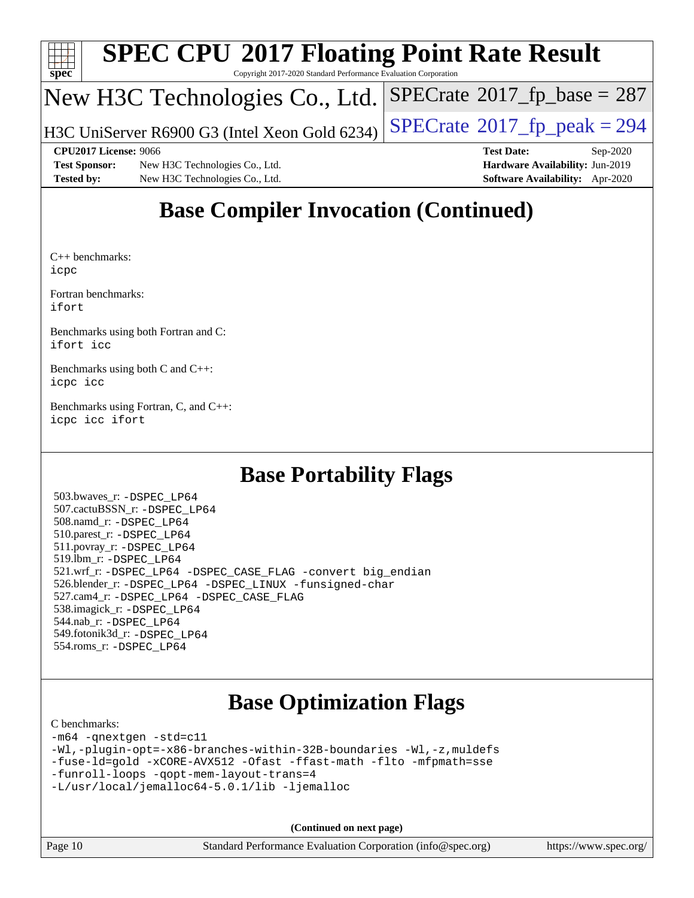

Copyright 2017-2020 Standard Performance Evaluation Corporation

### New H3C Technologies Co., Ltd.

H3C UniServer R6900 G3 (Intel Xeon Gold 6234)  $\vert$  [SPECrate](http://www.spec.org/auto/cpu2017/Docs/result-fields.html#SPECrate2017fppeak)®[2017\\_fp\\_peak = 2](http://www.spec.org/auto/cpu2017/Docs/result-fields.html#SPECrate2017fppeak)94

**[Test Sponsor:](http://www.spec.org/auto/cpu2017/Docs/result-fields.html#TestSponsor)** New H3C Technologies Co., Ltd. **[Hardware Availability:](http://www.spec.org/auto/cpu2017/Docs/result-fields.html#HardwareAvailability)** Jun-2019 **[Tested by:](http://www.spec.org/auto/cpu2017/Docs/result-fields.html#Testedby)** New H3C Technologies Co., Ltd. **[Software Availability:](http://www.spec.org/auto/cpu2017/Docs/result-fields.html#SoftwareAvailability)** Apr-2020

**[CPU2017 License:](http://www.spec.org/auto/cpu2017/Docs/result-fields.html#CPU2017License)** 9066 **[Test Date:](http://www.spec.org/auto/cpu2017/Docs/result-fields.html#TestDate)** Sep-2020

 $SPECTate$ <sup>®</sup>[2017\\_fp\\_base =](http://www.spec.org/auto/cpu2017/Docs/result-fields.html#SPECrate2017fpbase) 287

### **[Base Compiler Invocation \(Continued\)](http://www.spec.org/auto/cpu2017/Docs/result-fields.html#BaseCompilerInvocation)**

[C++ benchmarks](http://www.spec.org/auto/cpu2017/Docs/result-fields.html#CXXbenchmarks): [icpc](http://www.spec.org/cpu2017/results/res2020q4/cpu2017-20200927-24033.flags.html#user_CXXbase_intel_icpc_c510b6838c7f56d33e37e94d029a35b4a7bccf4766a728ee175e80a419847e808290a9b78be685c44ab727ea267ec2f070ec5dc83b407c0218cded6866a35d07)

[Fortran benchmarks](http://www.spec.org/auto/cpu2017/Docs/result-fields.html#Fortranbenchmarks): [ifort](http://www.spec.org/cpu2017/results/res2020q4/cpu2017-20200927-24033.flags.html#user_FCbase_intel_ifort_8111460550e3ca792625aed983ce982f94888b8b503583aa7ba2b8303487b4d8a21a13e7191a45c5fd58ff318f48f9492884d4413fa793fd88dd292cad7027ca)

[Benchmarks using both Fortran and C:](http://www.spec.org/auto/cpu2017/Docs/result-fields.html#BenchmarksusingbothFortranandC) [ifort](http://www.spec.org/cpu2017/results/res2020q4/cpu2017-20200927-24033.flags.html#user_CC_FCbase_intel_ifort_8111460550e3ca792625aed983ce982f94888b8b503583aa7ba2b8303487b4d8a21a13e7191a45c5fd58ff318f48f9492884d4413fa793fd88dd292cad7027ca) [icc](http://www.spec.org/cpu2017/results/res2020q4/cpu2017-20200927-24033.flags.html#user_CC_FCbase_intel_icc_66fc1ee009f7361af1fbd72ca7dcefbb700085f36577c54f309893dd4ec40d12360134090235512931783d35fd58c0460139e722d5067c5574d8eaf2b3e37e92)

[Benchmarks using both C and C++](http://www.spec.org/auto/cpu2017/Docs/result-fields.html#BenchmarksusingbothCandCXX): [icpc](http://www.spec.org/cpu2017/results/res2020q4/cpu2017-20200927-24033.flags.html#user_CC_CXXbase_intel_icpc_c510b6838c7f56d33e37e94d029a35b4a7bccf4766a728ee175e80a419847e808290a9b78be685c44ab727ea267ec2f070ec5dc83b407c0218cded6866a35d07) [icc](http://www.spec.org/cpu2017/results/res2020q4/cpu2017-20200927-24033.flags.html#user_CC_CXXbase_intel_icc_66fc1ee009f7361af1fbd72ca7dcefbb700085f36577c54f309893dd4ec40d12360134090235512931783d35fd58c0460139e722d5067c5574d8eaf2b3e37e92)

[Benchmarks using Fortran, C, and C++:](http://www.spec.org/auto/cpu2017/Docs/result-fields.html#BenchmarksusingFortranCandCXX) [icpc](http://www.spec.org/cpu2017/results/res2020q4/cpu2017-20200927-24033.flags.html#user_CC_CXX_FCbase_intel_icpc_c510b6838c7f56d33e37e94d029a35b4a7bccf4766a728ee175e80a419847e808290a9b78be685c44ab727ea267ec2f070ec5dc83b407c0218cded6866a35d07) [icc](http://www.spec.org/cpu2017/results/res2020q4/cpu2017-20200927-24033.flags.html#user_CC_CXX_FCbase_intel_icc_66fc1ee009f7361af1fbd72ca7dcefbb700085f36577c54f309893dd4ec40d12360134090235512931783d35fd58c0460139e722d5067c5574d8eaf2b3e37e92) [ifort](http://www.spec.org/cpu2017/results/res2020q4/cpu2017-20200927-24033.flags.html#user_CC_CXX_FCbase_intel_ifort_8111460550e3ca792625aed983ce982f94888b8b503583aa7ba2b8303487b4d8a21a13e7191a45c5fd58ff318f48f9492884d4413fa793fd88dd292cad7027ca)

### **[Base Portability Flags](http://www.spec.org/auto/cpu2017/Docs/result-fields.html#BasePortabilityFlags)**

 503.bwaves\_r: [-DSPEC\\_LP64](http://www.spec.org/cpu2017/results/res2020q4/cpu2017-20200927-24033.flags.html#suite_basePORTABILITY503_bwaves_r_DSPEC_LP64) 507.cactuBSSN\_r: [-DSPEC\\_LP64](http://www.spec.org/cpu2017/results/res2020q4/cpu2017-20200927-24033.flags.html#suite_basePORTABILITY507_cactuBSSN_r_DSPEC_LP64) 508.namd\_r: [-DSPEC\\_LP64](http://www.spec.org/cpu2017/results/res2020q4/cpu2017-20200927-24033.flags.html#suite_basePORTABILITY508_namd_r_DSPEC_LP64) 510.parest\_r: [-DSPEC\\_LP64](http://www.spec.org/cpu2017/results/res2020q4/cpu2017-20200927-24033.flags.html#suite_basePORTABILITY510_parest_r_DSPEC_LP64) 511.povray\_r: [-DSPEC\\_LP64](http://www.spec.org/cpu2017/results/res2020q4/cpu2017-20200927-24033.flags.html#suite_basePORTABILITY511_povray_r_DSPEC_LP64) 519.lbm\_r: [-DSPEC\\_LP64](http://www.spec.org/cpu2017/results/res2020q4/cpu2017-20200927-24033.flags.html#suite_basePORTABILITY519_lbm_r_DSPEC_LP64) 521.wrf\_r: [-DSPEC\\_LP64](http://www.spec.org/cpu2017/results/res2020q4/cpu2017-20200927-24033.flags.html#suite_basePORTABILITY521_wrf_r_DSPEC_LP64) [-DSPEC\\_CASE\\_FLAG](http://www.spec.org/cpu2017/results/res2020q4/cpu2017-20200927-24033.flags.html#b521.wrf_r_baseCPORTABILITY_DSPEC_CASE_FLAG) [-convert big\\_endian](http://www.spec.org/cpu2017/results/res2020q4/cpu2017-20200927-24033.flags.html#user_baseFPORTABILITY521_wrf_r_convert_big_endian_c3194028bc08c63ac5d04de18c48ce6d347e4e562e8892b8bdbdc0214820426deb8554edfa529a3fb25a586e65a3d812c835984020483e7e73212c4d31a38223) 526.blender\_r: [-DSPEC\\_LP64](http://www.spec.org/cpu2017/results/res2020q4/cpu2017-20200927-24033.flags.html#suite_basePORTABILITY526_blender_r_DSPEC_LP64) [-DSPEC\\_LINUX](http://www.spec.org/cpu2017/results/res2020q4/cpu2017-20200927-24033.flags.html#b526.blender_r_baseCPORTABILITY_DSPEC_LINUX) [-funsigned-char](http://www.spec.org/cpu2017/results/res2020q4/cpu2017-20200927-24033.flags.html#user_baseCPORTABILITY526_blender_r_force_uchar_40c60f00ab013830e2dd6774aeded3ff59883ba5a1fc5fc14077f794d777847726e2a5858cbc7672e36e1b067e7e5c1d9a74f7176df07886a243d7cc18edfe67) 527.cam4\_r: [-DSPEC\\_LP64](http://www.spec.org/cpu2017/results/res2020q4/cpu2017-20200927-24033.flags.html#suite_basePORTABILITY527_cam4_r_DSPEC_LP64) [-DSPEC\\_CASE\\_FLAG](http://www.spec.org/cpu2017/results/res2020q4/cpu2017-20200927-24033.flags.html#b527.cam4_r_baseCPORTABILITY_DSPEC_CASE_FLAG) 538.imagick\_r: [-DSPEC\\_LP64](http://www.spec.org/cpu2017/results/res2020q4/cpu2017-20200927-24033.flags.html#suite_basePORTABILITY538_imagick_r_DSPEC_LP64) 544.nab\_r: [-DSPEC\\_LP64](http://www.spec.org/cpu2017/results/res2020q4/cpu2017-20200927-24033.flags.html#suite_basePORTABILITY544_nab_r_DSPEC_LP64) 549.fotonik3d\_r: [-DSPEC\\_LP64](http://www.spec.org/cpu2017/results/res2020q4/cpu2017-20200927-24033.flags.html#suite_basePORTABILITY549_fotonik3d_r_DSPEC_LP64) 554.roms\_r: [-DSPEC\\_LP64](http://www.spec.org/cpu2017/results/res2020q4/cpu2017-20200927-24033.flags.html#suite_basePORTABILITY554_roms_r_DSPEC_LP64)

### **[Base Optimization Flags](http://www.spec.org/auto/cpu2017/Docs/result-fields.html#BaseOptimizationFlags)**

#### [C benchmarks](http://www.spec.org/auto/cpu2017/Docs/result-fields.html#Cbenchmarks):

```
-m64 -qnextgen -std=c11
-Wl,-plugin-opt=-x86-branches-within-32B-boundaries -Wl,-z,muldefs
-fuse-ld=gold -xCORE-AVX512 -Ofast -ffast-math -flto -mfpmath=sse
-funroll-loops -qopt-mem-layout-trans=4
-L/usr/local/jemalloc64-5.0.1/lib -ljemalloc
```
**(Continued on next page)**

|  | Page $10$ | Standard Performance Evaluation Corporation (info@ |  |
|--|-----------|----------------------------------------------------|--|
|--|-----------|----------------------------------------------------|--|

page 10 Standard Performance Eusensische Eusenstand Performance Eusensische Eusenstand (in Four et al., 2016)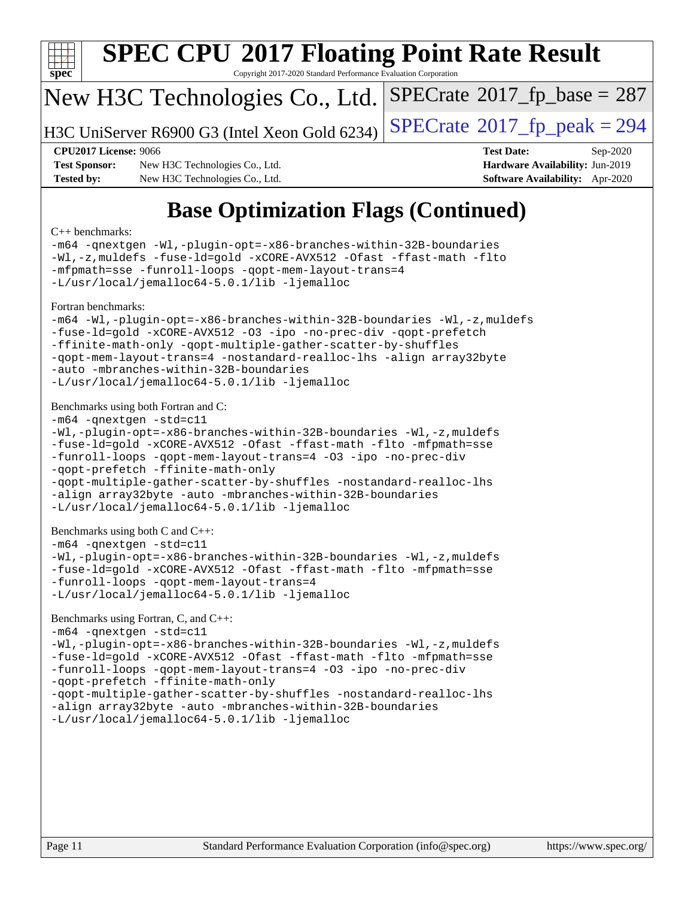

Copyright 2017-2020 Standard Performance Evaluation Corporation

### New H3C Technologies Co., Ltd.

H3C UniServer R6900 G3 (Intel Xeon Gold 6234) [SPECrate](http://www.spec.org/auto/cpu2017/Docs/result-fields.html#SPECrate2017fppeak)®[2017\\_fp\\_peak = 2](http://www.spec.org/auto/cpu2017/Docs/result-fields.html#SPECrate2017fppeak)94

 $SPECTate$ <sup>®</sup>[2017\\_fp\\_base =](http://www.spec.org/auto/cpu2017/Docs/result-fields.html#SPECrate2017fpbase) 287

**[Test Sponsor:](http://www.spec.org/auto/cpu2017/Docs/result-fields.html#TestSponsor)** New H3C Technologies Co., Ltd. **[Hardware Availability:](http://www.spec.org/auto/cpu2017/Docs/result-fields.html#HardwareAvailability)** Jun-2019 **[Tested by:](http://www.spec.org/auto/cpu2017/Docs/result-fields.html#Testedby)** New H3C Technologies Co., Ltd. **[Software Availability:](http://www.spec.org/auto/cpu2017/Docs/result-fields.html#SoftwareAvailability)** Apr-2020

**[CPU2017 License:](http://www.spec.org/auto/cpu2017/Docs/result-fields.html#CPU2017License)** 9066 **[Test Date:](http://www.spec.org/auto/cpu2017/Docs/result-fields.html#TestDate)** Sep-2020

## **[Base Optimization Flags \(Continued\)](http://www.spec.org/auto/cpu2017/Docs/result-fields.html#BaseOptimizationFlags)**

#### [C++ benchmarks:](http://www.spec.org/auto/cpu2017/Docs/result-fields.html#CXXbenchmarks)

[-m64](http://www.spec.org/cpu2017/results/res2020q4/cpu2017-20200927-24033.flags.html#user_CXXbase_m64-icc) [-qnextgen](http://www.spec.org/cpu2017/results/res2020q4/cpu2017-20200927-24033.flags.html#user_CXXbase_f-qnextgen) [-Wl,-plugin-opt=-x86-branches-within-32B-boundaries](http://www.spec.org/cpu2017/results/res2020q4/cpu2017-20200927-24033.flags.html#user_CXXbase_f-x86-branches-within-32B-boundaries_0098b4e4317ae60947b7b728078a624952a08ac37a3c797dfb4ffeb399e0c61a9dd0f2f44ce917e9361fb9076ccb15e7824594512dd315205382d84209e912f3) [-Wl,-z,muldefs](http://www.spec.org/cpu2017/results/res2020q4/cpu2017-20200927-24033.flags.html#user_CXXbase_link_force_multiple1_b4cbdb97b34bdee9ceefcfe54f4c8ea74255f0b02a4b23e853cdb0e18eb4525ac79b5a88067c842dd0ee6996c24547a27a4b99331201badda8798ef8a743f577) [-fuse-ld=gold](http://www.spec.org/cpu2017/results/res2020q4/cpu2017-20200927-24033.flags.html#user_CXXbase_f-fuse-ld_920b3586e2b8c6e0748b9c84fa9b744736ba725a32cab14ad8f3d4ad28eecb2f59d1144823d2e17006539a88734fe1fc08fc3035f7676166309105a78aaabc32) [-xCORE-AVX512](http://www.spec.org/cpu2017/results/res2020q4/cpu2017-20200927-24033.flags.html#user_CXXbase_f-xCORE-AVX512) [-Ofast](http://www.spec.org/cpu2017/results/res2020q4/cpu2017-20200927-24033.flags.html#user_CXXbase_f-Ofast) [-ffast-math](http://www.spec.org/cpu2017/results/res2020q4/cpu2017-20200927-24033.flags.html#user_CXXbase_f-ffast-math) [-flto](http://www.spec.org/cpu2017/results/res2020q4/cpu2017-20200927-24033.flags.html#user_CXXbase_f-flto) [-mfpmath=sse](http://www.spec.org/cpu2017/results/res2020q4/cpu2017-20200927-24033.flags.html#user_CXXbase_f-mfpmath_70eb8fac26bde974f8ab713bc9086c5621c0b8d2f6c86f38af0bd7062540daf19db5f3a066d8c6684be05d84c9b6322eb3b5be6619d967835195b93d6c02afa1) [-funroll-loops](http://www.spec.org/cpu2017/results/res2020q4/cpu2017-20200927-24033.flags.html#user_CXXbase_f-funroll-loops) [-qopt-mem-layout-trans=4](http://www.spec.org/cpu2017/results/res2020q4/cpu2017-20200927-24033.flags.html#user_CXXbase_f-qopt-mem-layout-trans_fa39e755916c150a61361b7846f310bcdf6f04e385ef281cadf3647acec3f0ae266d1a1d22d972a7087a248fd4e6ca390a3634700869573d231a252c784941a8) [-L/usr/local/jemalloc64-5.0.1/lib](http://www.spec.org/cpu2017/results/res2020q4/cpu2017-20200927-24033.flags.html#user_CXXbase_jemalloc_link_path64_1_cc289568b1a6c0fd3b62c91b824c27fcb5af5e8098e6ad028160d21144ef1b8aef3170d2acf0bee98a8da324cfe4f67d0a3d0c4cc4673d993d694dc2a0df248b) [-ljemalloc](http://www.spec.org/cpu2017/results/res2020q4/cpu2017-20200927-24033.flags.html#user_CXXbase_jemalloc_link_lib_d1249b907c500fa1c0672f44f562e3d0f79738ae9e3c4a9c376d49f265a04b9c99b167ecedbf6711b3085be911c67ff61f150a17b3472be731631ba4d0471706) [Fortran benchmarks](http://www.spec.org/auto/cpu2017/Docs/result-fields.html#Fortranbenchmarks): [-m64](http://www.spec.org/cpu2017/results/res2020q4/cpu2017-20200927-24033.flags.html#user_FCbase_m64-icc) [-Wl,-plugin-opt=-x86-branches-within-32B-boundaries](http://www.spec.org/cpu2017/results/res2020q4/cpu2017-20200927-24033.flags.html#user_FCbase_f-x86-branches-within-32B-boundaries_0098b4e4317ae60947b7b728078a624952a08ac37a3c797dfb4ffeb399e0c61a9dd0f2f44ce917e9361fb9076ccb15e7824594512dd315205382d84209e912f3) [-Wl,-z,muldefs](http://www.spec.org/cpu2017/results/res2020q4/cpu2017-20200927-24033.flags.html#user_FCbase_link_force_multiple1_b4cbdb97b34bdee9ceefcfe54f4c8ea74255f0b02a4b23e853cdb0e18eb4525ac79b5a88067c842dd0ee6996c24547a27a4b99331201badda8798ef8a743f577) [-fuse-ld=gold](http://www.spec.org/cpu2017/results/res2020q4/cpu2017-20200927-24033.flags.html#user_FCbase_f-fuse-ld_920b3586e2b8c6e0748b9c84fa9b744736ba725a32cab14ad8f3d4ad28eecb2f59d1144823d2e17006539a88734fe1fc08fc3035f7676166309105a78aaabc32) [-xCORE-AVX512](http://www.spec.org/cpu2017/results/res2020q4/cpu2017-20200927-24033.flags.html#user_FCbase_f-xCORE-AVX512) [-O3](http://www.spec.org/cpu2017/results/res2020q4/cpu2017-20200927-24033.flags.html#user_FCbase_f-O3) [-ipo](http://www.spec.org/cpu2017/results/res2020q4/cpu2017-20200927-24033.flags.html#user_FCbase_f-ipo) [-no-prec-div](http://www.spec.org/cpu2017/results/res2020q4/cpu2017-20200927-24033.flags.html#user_FCbase_f-no-prec-div) [-qopt-prefetch](http://www.spec.org/cpu2017/results/res2020q4/cpu2017-20200927-24033.flags.html#user_FCbase_f-qopt-prefetch) [-ffinite-math-only](http://www.spec.org/cpu2017/results/res2020q4/cpu2017-20200927-24033.flags.html#user_FCbase_f_finite_math_only_cb91587bd2077682c4b38af759c288ed7c732db004271a9512da14a4f8007909a5f1427ecbf1a0fb78ff2a814402c6114ac565ca162485bbcae155b5e4258871) [-qopt-multiple-gather-scatter-by-shuffles](http://www.spec.org/cpu2017/results/res2020q4/cpu2017-20200927-24033.flags.html#user_FCbase_f-qopt-multiple-gather-scatter-by-shuffles) [-qopt-mem-layout-trans=4](http://www.spec.org/cpu2017/results/res2020q4/cpu2017-20200927-24033.flags.html#user_FCbase_f-qopt-mem-layout-trans_fa39e755916c150a61361b7846f310bcdf6f04e385ef281cadf3647acec3f0ae266d1a1d22d972a7087a248fd4e6ca390a3634700869573d231a252c784941a8) [-nostandard-realloc-lhs](http://www.spec.org/cpu2017/results/res2020q4/cpu2017-20200927-24033.flags.html#user_FCbase_f_2003_std_realloc_82b4557e90729c0f113870c07e44d33d6f5a304b4f63d4c15d2d0f1fab99f5daaed73bdb9275d9ae411527f28b936061aa8b9c8f2d63842963b95c9dd6426b8a) [-align array32byte](http://www.spec.org/cpu2017/results/res2020q4/cpu2017-20200927-24033.flags.html#user_FCbase_align_array32byte_b982fe038af199962ba9a80c053b8342c548c85b40b8e86eb3cc33dee0d7986a4af373ac2d51c3f7cf710a18d62fdce2948f201cd044323541f22fc0fffc51b6) [-auto](http://www.spec.org/cpu2017/results/res2020q4/cpu2017-20200927-24033.flags.html#user_FCbase_f-auto) [-mbranches-within-32B-boundaries](http://www.spec.org/cpu2017/results/res2020q4/cpu2017-20200927-24033.flags.html#user_FCbase_f-mbranches-within-32B-boundaries) [-L/usr/local/jemalloc64-5.0.1/lib](http://www.spec.org/cpu2017/results/res2020q4/cpu2017-20200927-24033.flags.html#user_FCbase_jemalloc_link_path64_1_cc289568b1a6c0fd3b62c91b824c27fcb5af5e8098e6ad028160d21144ef1b8aef3170d2acf0bee98a8da324cfe4f67d0a3d0c4cc4673d993d694dc2a0df248b) [-ljemalloc](http://www.spec.org/cpu2017/results/res2020q4/cpu2017-20200927-24033.flags.html#user_FCbase_jemalloc_link_lib_d1249b907c500fa1c0672f44f562e3d0f79738ae9e3c4a9c376d49f265a04b9c99b167ecedbf6711b3085be911c67ff61f150a17b3472be731631ba4d0471706) [Benchmarks using both Fortran and C](http://www.spec.org/auto/cpu2017/Docs/result-fields.html#BenchmarksusingbothFortranandC): [-m64](http://www.spec.org/cpu2017/results/res2020q4/cpu2017-20200927-24033.flags.html#user_CC_FCbase_m64-icc) [-qnextgen](http://www.spec.org/cpu2017/results/res2020q4/cpu2017-20200927-24033.flags.html#user_CC_FCbase_f-qnextgen) [-std=c11](http://www.spec.org/cpu2017/results/res2020q4/cpu2017-20200927-24033.flags.html#user_CC_FCbase_std-icc-std_0e1c27790398a4642dfca32ffe6c27b5796f9c2d2676156f2e42c9c44eaad0c049b1cdb667a270c34d979996257aeb8fc440bfb01818dbc9357bd9d174cb8524) [-Wl,-plugin-opt=-x86-branches-within-32B-boundaries](http://www.spec.org/cpu2017/results/res2020q4/cpu2017-20200927-24033.flags.html#user_CC_FCbase_f-x86-branches-within-32B-boundaries_0098b4e4317ae60947b7b728078a624952a08ac37a3c797dfb4ffeb399e0c61a9dd0f2f44ce917e9361fb9076ccb15e7824594512dd315205382d84209e912f3) [-Wl,-z,muldefs](http://www.spec.org/cpu2017/results/res2020q4/cpu2017-20200927-24033.flags.html#user_CC_FCbase_link_force_multiple1_b4cbdb97b34bdee9ceefcfe54f4c8ea74255f0b02a4b23e853cdb0e18eb4525ac79b5a88067c842dd0ee6996c24547a27a4b99331201badda8798ef8a743f577) [-fuse-ld=gold](http://www.spec.org/cpu2017/results/res2020q4/cpu2017-20200927-24033.flags.html#user_CC_FCbase_f-fuse-ld_920b3586e2b8c6e0748b9c84fa9b744736ba725a32cab14ad8f3d4ad28eecb2f59d1144823d2e17006539a88734fe1fc08fc3035f7676166309105a78aaabc32) [-xCORE-AVX512](http://www.spec.org/cpu2017/results/res2020q4/cpu2017-20200927-24033.flags.html#user_CC_FCbase_f-xCORE-AVX512) [-Ofast](http://www.spec.org/cpu2017/results/res2020q4/cpu2017-20200927-24033.flags.html#user_CC_FCbase_f-Ofast) [-ffast-math](http://www.spec.org/cpu2017/results/res2020q4/cpu2017-20200927-24033.flags.html#user_CC_FCbase_f-ffast-math) [-flto](http://www.spec.org/cpu2017/results/res2020q4/cpu2017-20200927-24033.flags.html#user_CC_FCbase_f-flto) [-mfpmath=sse](http://www.spec.org/cpu2017/results/res2020q4/cpu2017-20200927-24033.flags.html#user_CC_FCbase_f-mfpmath_70eb8fac26bde974f8ab713bc9086c5621c0b8d2f6c86f38af0bd7062540daf19db5f3a066d8c6684be05d84c9b6322eb3b5be6619d967835195b93d6c02afa1) [-funroll-loops](http://www.spec.org/cpu2017/results/res2020q4/cpu2017-20200927-24033.flags.html#user_CC_FCbase_f-funroll-loops) [-qopt-mem-layout-trans=4](http://www.spec.org/cpu2017/results/res2020q4/cpu2017-20200927-24033.flags.html#user_CC_FCbase_f-qopt-mem-layout-trans_fa39e755916c150a61361b7846f310bcdf6f04e385ef281cadf3647acec3f0ae266d1a1d22d972a7087a248fd4e6ca390a3634700869573d231a252c784941a8) [-O3](http://www.spec.org/cpu2017/results/res2020q4/cpu2017-20200927-24033.flags.html#user_CC_FCbase_f-O3) [-ipo](http://www.spec.org/cpu2017/results/res2020q4/cpu2017-20200927-24033.flags.html#user_CC_FCbase_f-ipo) [-no-prec-div](http://www.spec.org/cpu2017/results/res2020q4/cpu2017-20200927-24033.flags.html#user_CC_FCbase_f-no-prec-div) [-qopt-prefetch](http://www.spec.org/cpu2017/results/res2020q4/cpu2017-20200927-24033.flags.html#user_CC_FCbase_f-qopt-prefetch) [-ffinite-math-only](http://www.spec.org/cpu2017/results/res2020q4/cpu2017-20200927-24033.flags.html#user_CC_FCbase_f_finite_math_only_cb91587bd2077682c4b38af759c288ed7c732db004271a9512da14a4f8007909a5f1427ecbf1a0fb78ff2a814402c6114ac565ca162485bbcae155b5e4258871) [-qopt-multiple-gather-scatter-by-shuffles](http://www.spec.org/cpu2017/results/res2020q4/cpu2017-20200927-24033.flags.html#user_CC_FCbase_f-qopt-multiple-gather-scatter-by-shuffles) [-nostandard-realloc-lhs](http://www.spec.org/cpu2017/results/res2020q4/cpu2017-20200927-24033.flags.html#user_CC_FCbase_f_2003_std_realloc_82b4557e90729c0f113870c07e44d33d6f5a304b4f63d4c15d2d0f1fab99f5daaed73bdb9275d9ae411527f28b936061aa8b9c8f2d63842963b95c9dd6426b8a) [-align array32byte](http://www.spec.org/cpu2017/results/res2020q4/cpu2017-20200927-24033.flags.html#user_CC_FCbase_align_array32byte_b982fe038af199962ba9a80c053b8342c548c85b40b8e86eb3cc33dee0d7986a4af373ac2d51c3f7cf710a18d62fdce2948f201cd044323541f22fc0fffc51b6) [-auto](http://www.spec.org/cpu2017/results/res2020q4/cpu2017-20200927-24033.flags.html#user_CC_FCbase_f-auto) [-mbranches-within-32B-boundaries](http://www.spec.org/cpu2017/results/res2020q4/cpu2017-20200927-24033.flags.html#user_CC_FCbase_f-mbranches-within-32B-boundaries) [-L/usr/local/jemalloc64-5.0.1/lib](http://www.spec.org/cpu2017/results/res2020q4/cpu2017-20200927-24033.flags.html#user_CC_FCbase_jemalloc_link_path64_1_cc289568b1a6c0fd3b62c91b824c27fcb5af5e8098e6ad028160d21144ef1b8aef3170d2acf0bee98a8da324cfe4f67d0a3d0c4cc4673d993d694dc2a0df248b) [-ljemalloc](http://www.spec.org/cpu2017/results/res2020q4/cpu2017-20200927-24033.flags.html#user_CC_FCbase_jemalloc_link_lib_d1249b907c500fa1c0672f44f562e3d0f79738ae9e3c4a9c376d49f265a04b9c99b167ecedbf6711b3085be911c67ff61f150a17b3472be731631ba4d0471706) [Benchmarks using both C and C++](http://www.spec.org/auto/cpu2017/Docs/result-fields.html#BenchmarksusingbothCandCXX): [-m64](http://www.spec.org/cpu2017/results/res2020q4/cpu2017-20200927-24033.flags.html#user_CC_CXXbase_m64-icc) [-qnextgen](http://www.spec.org/cpu2017/results/res2020q4/cpu2017-20200927-24033.flags.html#user_CC_CXXbase_f-qnextgen) [-std=c11](http://www.spec.org/cpu2017/results/res2020q4/cpu2017-20200927-24033.flags.html#user_CC_CXXbase_std-icc-std_0e1c27790398a4642dfca32ffe6c27b5796f9c2d2676156f2e42c9c44eaad0c049b1cdb667a270c34d979996257aeb8fc440bfb01818dbc9357bd9d174cb8524) [-Wl,-plugin-opt=-x86-branches-within-32B-boundaries](http://www.spec.org/cpu2017/results/res2020q4/cpu2017-20200927-24033.flags.html#user_CC_CXXbase_f-x86-branches-within-32B-boundaries_0098b4e4317ae60947b7b728078a624952a08ac37a3c797dfb4ffeb399e0c61a9dd0f2f44ce917e9361fb9076ccb15e7824594512dd315205382d84209e912f3) [-Wl,-z,muldefs](http://www.spec.org/cpu2017/results/res2020q4/cpu2017-20200927-24033.flags.html#user_CC_CXXbase_link_force_multiple1_b4cbdb97b34bdee9ceefcfe54f4c8ea74255f0b02a4b23e853cdb0e18eb4525ac79b5a88067c842dd0ee6996c24547a27a4b99331201badda8798ef8a743f577) [-fuse-ld=gold](http://www.spec.org/cpu2017/results/res2020q4/cpu2017-20200927-24033.flags.html#user_CC_CXXbase_f-fuse-ld_920b3586e2b8c6e0748b9c84fa9b744736ba725a32cab14ad8f3d4ad28eecb2f59d1144823d2e17006539a88734fe1fc08fc3035f7676166309105a78aaabc32) [-xCORE-AVX512](http://www.spec.org/cpu2017/results/res2020q4/cpu2017-20200927-24033.flags.html#user_CC_CXXbase_f-xCORE-AVX512) [-Ofast](http://www.spec.org/cpu2017/results/res2020q4/cpu2017-20200927-24033.flags.html#user_CC_CXXbase_f-Ofast) [-ffast-math](http://www.spec.org/cpu2017/results/res2020q4/cpu2017-20200927-24033.flags.html#user_CC_CXXbase_f-ffast-math) [-flto](http://www.spec.org/cpu2017/results/res2020q4/cpu2017-20200927-24033.flags.html#user_CC_CXXbase_f-flto) [-mfpmath=sse](http://www.spec.org/cpu2017/results/res2020q4/cpu2017-20200927-24033.flags.html#user_CC_CXXbase_f-mfpmath_70eb8fac26bde974f8ab713bc9086c5621c0b8d2f6c86f38af0bd7062540daf19db5f3a066d8c6684be05d84c9b6322eb3b5be6619d967835195b93d6c02afa1) [-funroll-loops](http://www.spec.org/cpu2017/results/res2020q4/cpu2017-20200927-24033.flags.html#user_CC_CXXbase_f-funroll-loops) [-qopt-mem-layout-trans=4](http://www.spec.org/cpu2017/results/res2020q4/cpu2017-20200927-24033.flags.html#user_CC_CXXbase_f-qopt-mem-layout-trans_fa39e755916c150a61361b7846f310bcdf6f04e385ef281cadf3647acec3f0ae266d1a1d22d972a7087a248fd4e6ca390a3634700869573d231a252c784941a8) [-L/usr/local/jemalloc64-5.0.1/lib](http://www.spec.org/cpu2017/results/res2020q4/cpu2017-20200927-24033.flags.html#user_CC_CXXbase_jemalloc_link_path64_1_cc289568b1a6c0fd3b62c91b824c27fcb5af5e8098e6ad028160d21144ef1b8aef3170d2acf0bee98a8da324cfe4f67d0a3d0c4cc4673d993d694dc2a0df248b) [-ljemalloc](http://www.spec.org/cpu2017/results/res2020q4/cpu2017-20200927-24033.flags.html#user_CC_CXXbase_jemalloc_link_lib_d1249b907c500fa1c0672f44f562e3d0f79738ae9e3c4a9c376d49f265a04b9c99b167ecedbf6711b3085be911c67ff61f150a17b3472be731631ba4d0471706)

#### [Benchmarks using Fortran, C, and C++:](http://www.spec.org/auto/cpu2017/Docs/result-fields.html#BenchmarksusingFortranCandCXX)

[-m64](http://www.spec.org/cpu2017/results/res2020q4/cpu2017-20200927-24033.flags.html#user_CC_CXX_FCbase_m64-icc) [-qnextgen](http://www.spec.org/cpu2017/results/res2020q4/cpu2017-20200927-24033.flags.html#user_CC_CXX_FCbase_f-qnextgen) [-std=c11](http://www.spec.org/cpu2017/results/res2020q4/cpu2017-20200927-24033.flags.html#user_CC_CXX_FCbase_std-icc-std_0e1c27790398a4642dfca32ffe6c27b5796f9c2d2676156f2e42c9c44eaad0c049b1cdb667a270c34d979996257aeb8fc440bfb01818dbc9357bd9d174cb8524) [-Wl,-plugin-opt=-x86-branches-within-32B-boundaries](http://www.spec.org/cpu2017/results/res2020q4/cpu2017-20200927-24033.flags.html#user_CC_CXX_FCbase_f-x86-branches-within-32B-boundaries_0098b4e4317ae60947b7b728078a624952a08ac37a3c797dfb4ffeb399e0c61a9dd0f2f44ce917e9361fb9076ccb15e7824594512dd315205382d84209e912f3) [-Wl,-z,muldefs](http://www.spec.org/cpu2017/results/res2020q4/cpu2017-20200927-24033.flags.html#user_CC_CXX_FCbase_link_force_multiple1_b4cbdb97b34bdee9ceefcfe54f4c8ea74255f0b02a4b23e853cdb0e18eb4525ac79b5a88067c842dd0ee6996c24547a27a4b99331201badda8798ef8a743f577) [-fuse-ld=gold](http://www.spec.org/cpu2017/results/res2020q4/cpu2017-20200927-24033.flags.html#user_CC_CXX_FCbase_f-fuse-ld_920b3586e2b8c6e0748b9c84fa9b744736ba725a32cab14ad8f3d4ad28eecb2f59d1144823d2e17006539a88734fe1fc08fc3035f7676166309105a78aaabc32) [-xCORE-AVX512](http://www.spec.org/cpu2017/results/res2020q4/cpu2017-20200927-24033.flags.html#user_CC_CXX_FCbase_f-xCORE-AVX512) [-Ofast](http://www.spec.org/cpu2017/results/res2020q4/cpu2017-20200927-24033.flags.html#user_CC_CXX_FCbase_f-Ofast) [-ffast-math](http://www.spec.org/cpu2017/results/res2020q4/cpu2017-20200927-24033.flags.html#user_CC_CXX_FCbase_f-ffast-math) [-flto](http://www.spec.org/cpu2017/results/res2020q4/cpu2017-20200927-24033.flags.html#user_CC_CXX_FCbase_f-flto) [-mfpmath=sse](http://www.spec.org/cpu2017/results/res2020q4/cpu2017-20200927-24033.flags.html#user_CC_CXX_FCbase_f-mfpmath_70eb8fac26bde974f8ab713bc9086c5621c0b8d2f6c86f38af0bd7062540daf19db5f3a066d8c6684be05d84c9b6322eb3b5be6619d967835195b93d6c02afa1) [-funroll-loops](http://www.spec.org/cpu2017/results/res2020q4/cpu2017-20200927-24033.flags.html#user_CC_CXX_FCbase_f-funroll-loops) [-qopt-mem-layout-trans=4](http://www.spec.org/cpu2017/results/res2020q4/cpu2017-20200927-24033.flags.html#user_CC_CXX_FCbase_f-qopt-mem-layout-trans_fa39e755916c150a61361b7846f310bcdf6f04e385ef281cadf3647acec3f0ae266d1a1d22d972a7087a248fd4e6ca390a3634700869573d231a252c784941a8) [-O3](http://www.spec.org/cpu2017/results/res2020q4/cpu2017-20200927-24033.flags.html#user_CC_CXX_FCbase_f-O3) [-ipo](http://www.spec.org/cpu2017/results/res2020q4/cpu2017-20200927-24033.flags.html#user_CC_CXX_FCbase_f-ipo) [-no-prec-div](http://www.spec.org/cpu2017/results/res2020q4/cpu2017-20200927-24033.flags.html#user_CC_CXX_FCbase_f-no-prec-div) [-qopt-prefetch](http://www.spec.org/cpu2017/results/res2020q4/cpu2017-20200927-24033.flags.html#user_CC_CXX_FCbase_f-qopt-prefetch) [-ffinite-math-only](http://www.spec.org/cpu2017/results/res2020q4/cpu2017-20200927-24033.flags.html#user_CC_CXX_FCbase_f_finite_math_only_cb91587bd2077682c4b38af759c288ed7c732db004271a9512da14a4f8007909a5f1427ecbf1a0fb78ff2a814402c6114ac565ca162485bbcae155b5e4258871) [-qopt-multiple-gather-scatter-by-shuffles](http://www.spec.org/cpu2017/results/res2020q4/cpu2017-20200927-24033.flags.html#user_CC_CXX_FCbase_f-qopt-multiple-gather-scatter-by-shuffles) [-nostandard-realloc-lhs](http://www.spec.org/cpu2017/results/res2020q4/cpu2017-20200927-24033.flags.html#user_CC_CXX_FCbase_f_2003_std_realloc_82b4557e90729c0f113870c07e44d33d6f5a304b4f63d4c15d2d0f1fab99f5daaed73bdb9275d9ae411527f28b936061aa8b9c8f2d63842963b95c9dd6426b8a) [-align array32byte](http://www.spec.org/cpu2017/results/res2020q4/cpu2017-20200927-24033.flags.html#user_CC_CXX_FCbase_align_array32byte_b982fe038af199962ba9a80c053b8342c548c85b40b8e86eb3cc33dee0d7986a4af373ac2d51c3f7cf710a18d62fdce2948f201cd044323541f22fc0fffc51b6) [-auto](http://www.spec.org/cpu2017/results/res2020q4/cpu2017-20200927-24033.flags.html#user_CC_CXX_FCbase_f-auto) [-mbranches-within-32B-boundaries](http://www.spec.org/cpu2017/results/res2020q4/cpu2017-20200927-24033.flags.html#user_CC_CXX_FCbase_f-mbranches-within-32B-boundaries) [-L/usr/local/jemalloc64-5.0.1/lib](http://www.spec.org/cpu2017/results/res2020q4/cpu2017-20200927-24033.flags.html#user_CC_CXX_FCbase_jemalloc_link_path64_1_cc289568b1a6c0fd3b62c91b824c27fcb5af5e8098e6ad028160d21144ef1b8aef3170d2acf0bee98a8da324cfe4f67d0a3d0c4cc4673d993d694dc2a0df248b) [-ljemalloc](http://www.spec.org/cpu2017/results/res2020q4/cpu2017-20200927-24033.flags.html#user_CC_CXX_FCbase_jemalloc_link_lib_d1249b907c500fa1c0672f44f562e3d0f79738ae9e3c4a9c376d49f265a04b9c99b167ecedbf6711b3085be911c67ff61f150a17b3472be731631ba4d0471706)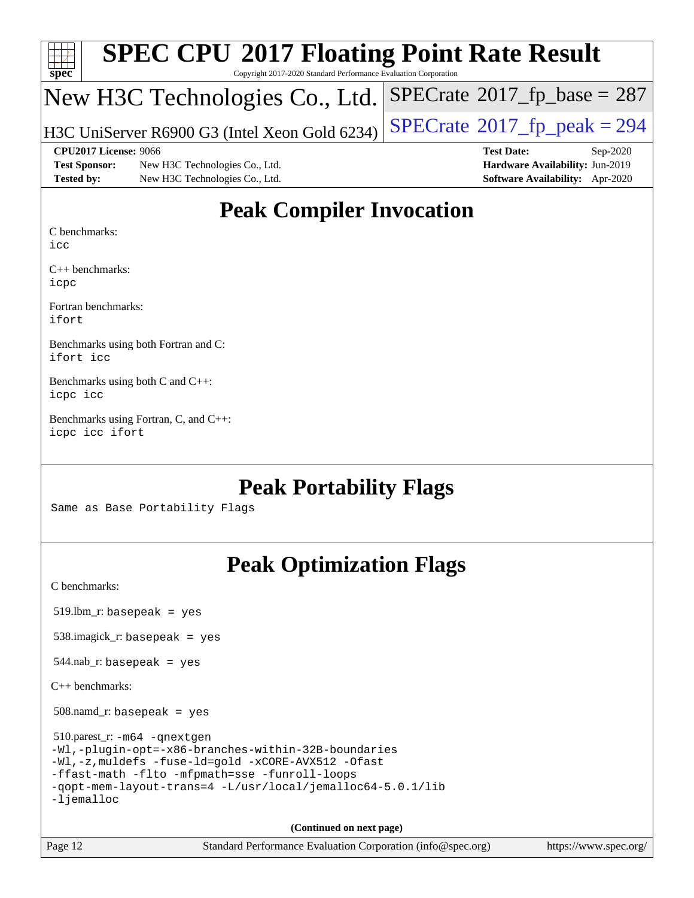| Spec                 | <b>SPEC CPU®2017 Floating Point Rate Result</b><br>Copyright 2017-2020 Standard Performance Evaluation Corporation |                                         |
|----------------------|--------------------------------------------------------------------------------------------------------------------|-----------------------------------------|
|                      | New H3C Technologies Co., Ltd. SPECrate®2017_fp_base = 287                                                         |                                         |
|                      | H3C UniServer R6900 G3 (Intel Xeon Gold 6234)                                                                      | $ SPECrate^{\circ}2017_fp\_peak = 294 $ |
|                      | CPU2017 License: 9066                                                                                              | <b>Test Date:</b><br>$Sep-2020$         |
| <b>Test Sponsor:</b> | New H3C Technologies Co., Ltd.                                                                                     | Hardware Availability: Jun-2019         |
| <b>Tested by:</b>    | New H3C Technologies Co., Ltd.                                                                                     | Software Availability: Apr-2020         |

### **[Peak Compiler Invocation](http://www.spec.org/auto/cpu2017/Docs/result-fields.html#PeakCompilerInvocation)**

[C benchmarks](http://www.spec.org/auto/cpu2017/Docs/result-fields.html#Cbenchmarks):

[icc](http://www.spec.org/cpu2017/results/res2020q4/cpu2017-20200927-24033.flags.html#user_CCpeak_intel_icc_66fc1ee009f7361af1fbd72ca7dcefbb700085f36577c54f309893dd4ec40d12360134090235512931783d35fd58c0460139e722d5067c5574d8eaf2b3e37e92)

[C++ benchmarks](http://www.spec.org/auto/cpu2017/Docs/result-fields.html#CXXbenchmarks): [icpc](http://www.spec.org/cpu2017/results/res2020q4/cpu2017-20200927-24033.flags.html#user_CXXpeak_intel_icpc_c510b6838c7f56d33e37e94d029a35b4a7bccf4766a728ee175e80a419847e808290a9b78be685c44ab727ea267ec2f070ec5dc83b407c0218cded6866a35d07)

[Fortran benchmarks:](http://www.spec.org/auto/cpu2017/Docs/result-fields.html#Fortranbenchmarks) [ifort](http://www.spec.org/cpu2017/results/res2020q4/cpu2017-20200927-24033.flags.html#user_FCpeak_intel_ifort_8111460550e3ca792625aed983ce982f94888b8b503583aa7ba2b8303487b4d8a21a13e7191a45c5fd58ff318f48f9492884d4413fa793fd88dd292cad7027ca)

[Benchmarks using both Fortran and C](http://www.spec.org/auto/cpu2017/Docs/result-fields.html#BenchmarksusingbothFortranandC): [ifort](http://www.spec.org/cpu2017/results/res2020q4/cpu2017-20200927-24033.flags.html#user_CC_FCpeak_intel_ifort_8111460550e3ca792625aed983ce982f94888b8b503583aa7ba2b8303487b4d8a21a13e7191a45c5fd58ff318f48f9492884d4413fa793fd88dd292cad7027ca) [icc](http://www.spec.org/cpu2017/results/res2020q4/cpu2017-20200927-24033.flags.html#user_CC_FCpeak_intel_icc_66fc1ee009f7361af1fbd72ca7dcefbb700085f36577c54f309893dd4ec40d12360134090235512931783d35fd58c0460139e722d5067c5574d8eaf2b3e37e92)

[Benchmarks using both C and C++:](http://www.spec.org/auto/cpu2017/Docs/result-fields.html#BenchmarksusingbothCandCXX) [icpc](http://www.spec.org/cpu2017/results/res2020q4/cpu2017-20200927-24033.flags.html#user_CC_CXXpeak_intel_icpc_c510b6838c7f56d33e37e94d029a35b4a7bccf4766a728ee175e80a419847e808290a9b78be685c44ab727ea267ec2f070ec5dc83b407c0218cded6866a35d07) [icc](http://www.spec.org/cpu2017/results/res2020q4/cpu2017-20200927-24033.flags.html#user_CC_CXXpeak_intel_icc_66fc1ee009f7361af1fbd72ca7dcefbb700085f36577c54f309893dd4ec40d12360134090235512931783d35fd58c0460139e722d5067c5574d8eaf2b3e37e92)

[Benchmarks using Fortran, C, and C++](http://www.spec.org/auto/cpu2017/Docs/result-fields.html#BenchmarksusingFortranCandCXX): [icpc](http://www.spec.org/cpu2017/results/res2020q4/cpu2017-20200927-24033.flags.html#user_CC_CXX_FCpeak_intel_icpc_c510b6838c7f56d33e37e94d029a35b4a7bccf4766a728ee175e80a419847e808290a9b78be685c44ab727ea267ec2f070ec5dc83b407c0218cded6866a35d07) [icc](http://www.spec.org/cpu2017/results/res2020q4/cpu2017-20200927-24033.flags.html#user_CC_CXX_FCpeak_intel_icc_66fc1ee009f7361af1fbd72ca7dcefbb700085f36577c54f309893dd4ec40d12360134090235512931783d35fd58c0460139e722d5067c5574d8eaf2b3e37e92) [ifort](http://www.spec.org/cpu2017/results/res2020q4/cpu2017-20200927-24033.flags.html#user_CC_CXX_FCpeak_intel_ifort_8111460550e3ca792625aed983ce982f94888b8b503583aa7ba2b8303487b4d8a21a13e7191a45c5fd58ff318f48f9492884d4413fa793fd88dd292cad7027ca)

### **[Peak Portability Flags](http://www.spec.org/auto/cpu2017/Docs/result-fields.html#PeakPortabilityFlags)**

Same as Base Portability Flags

## **[Peak Optimization Flags](http://www.spec.org/auto/cpu2017/Docs/result-fields.html#PeakOptimizationFlags)**

[C benchmarks](http://www.spec.org/auto/cpu2017/Docs/result-fields.html#Cbenchmarks):

519.lbm\_r: basepeak = yes

538.imagick\_r: basepeak = yes

 $544.nab$ <sub>r</sub>: basepeak = yes

[C++ benchmarks:](http://www.spec.org/auto/cpu2017/Docs/result-fields.html#CXXbenchmarks)

508.namd\_r: basepeak = yes

 510.parest\_r: [-m64](http://www.spec.org/cpu2017/results/res2020q4/cpu2017-20200927-24033.flags.html#user_peakCXXLD510_parest_r_m64-icc) [-qnextgen](http://www.spec.org/cpu2017/results/res2020q4/cpu2017-20200927-24033.flags.html#user_peakCXXLD510_parest_r_f-qnextgen) [-Wl,-plugin-opt=-x86-branches-within-32B-boundaries](http://www.spec.org/cpu2017/results/res2020q4/cpu2017-20200927-24033.flags.html#user_peakLDFLAGS510_parest_r_f-x86-branches-within-32B-boundaries_0098b4e4317ae60947b7b728078a624952a08ac37a3c797dfb4ffeb399e0c61a9dd0f2f44ce917e9361fb9076ccb15e7824594512dd315205382d84209e912f3) [-Wl,-z,muldefs](http://www.spec.org/cpu2017/results/res2020q4/cpu2017-20200927-24033.flags.html#user_peakEXTRA_LDFLAGS510_parest_r_link_force_multiple1_b4cbdb97b34bdee9ceefcfe54f4c8ea74255f0b02a4b23e853cdb0e18eb4525ac79b5a88067c842dd0ee6996c24547a27a4b99331201badda8798ef8a743f577) [-fuse-ld=gold](http://www.spec.org/cpu2017/results/res2020q4/cpu2017-20200927-24033.flags.html#user_peakEXTRA_LDFLAGS510_parest_r_f-fuse-ld_920b3586e2b8c6e0748b9c84fa9b744736ba725a32cab14ad8f3d4ad28eecb2f59d1144823d2e17006539a88734fe1fc08fc3035f7676166309105a78aaabc32) [-xCORE-AVX512](http://www.spec.org/cpu2017/results/res2020q4/cpu2017-20200927-24033.flags.html#user_peakCXXOPTIMIZE510_parest_r_f-xCORE-AVX512) [-Ofast](http://www.spec.org/cpu2017/results/res2020q4/cpu2017-20200927-24033.flags.html#user_peakCXXOPTIMIZE510_parest_r_f-Ofast) [-ffast-math](http://www.spec.org/cpu2017/results/res2020q4/cpu2017-20200927-24033.flags.html#user_peakCXXOPTIMIZE510_parest_r_f-ffast-math) [-flto](http://www.spec.org/cpu2017/results/res2020q4/cpu2017-20200927-24033.flags.html#user_peakCXXOPTIMIZE510_parest_r_f-flto) [-mfpmath=sse](http://www.spec.org/cpu2017/results/res2020q4/cpu2017-20200927-24033.flags.html#user_peakCXXOPTIMIZE510_parest_r_f-mfpmath_70eb8fac26bde974f8ab713bc9086c5621c0b8d2f6c86f38af0bd7062540daf19db5f3a066d8c6684be05d84c9b6322eb3b5be6619d967835195b93d6c02afa1) [-funroll-loops](http://www.spec.org/cpu2017/results/res2020q4/cpu2017-20200927-24033.flags.html#user_peakCXXOPTIMIZE510_parest_r_f-funroll-loops) [-qopt-mem-layout-trans=4](http://www.spec.org/cpu2017/results/res2020q4/cpu2017-20200927-24033.flags.html#user_peakCXXOPTIMIZE510_parest_r_f-qopt-mem-layout-trans_fa39e755916c150a61361b7846f310bcdf6f04e385ef281cadf3647acec3f0ae266d1a1d22d972a7087a248fd4e6ca390a3634700869573d231a252c784941a8) [-L/usr/local/jemalloc64-5.0.1/lib](http://www.spec.org/cpu2017/results/res2020q4/cpu2017-20200927-24033.flags.html#user_peakEXTRA_LIBS510_parest_r_jemalloc_link_path64_1_cc289568b1a6c0fd3b62c91b824c27fcb5af5e8098e6ad028160d21144ef1b8aef3170d2acf0bee98a8da324cfe4f67d0a3d0c4cc4673d993d694dc2a0df248b) [-ljemalloc](http://www.spec.org/cpu2017/results/res2020q4/cpu2017-20200927-24033.flags.html#user_peakEXTRA_LIBS510_parest_r_jemalloc_link_lib_d1249b907c500fa1c0672f44f562e3d0f79738ae9e3c4a9c376d49f265a04b9c99b167ecedbf6711b3085be911c67ff61f150a17b3472be731631ba4d0471706)

**(Continued on next page)**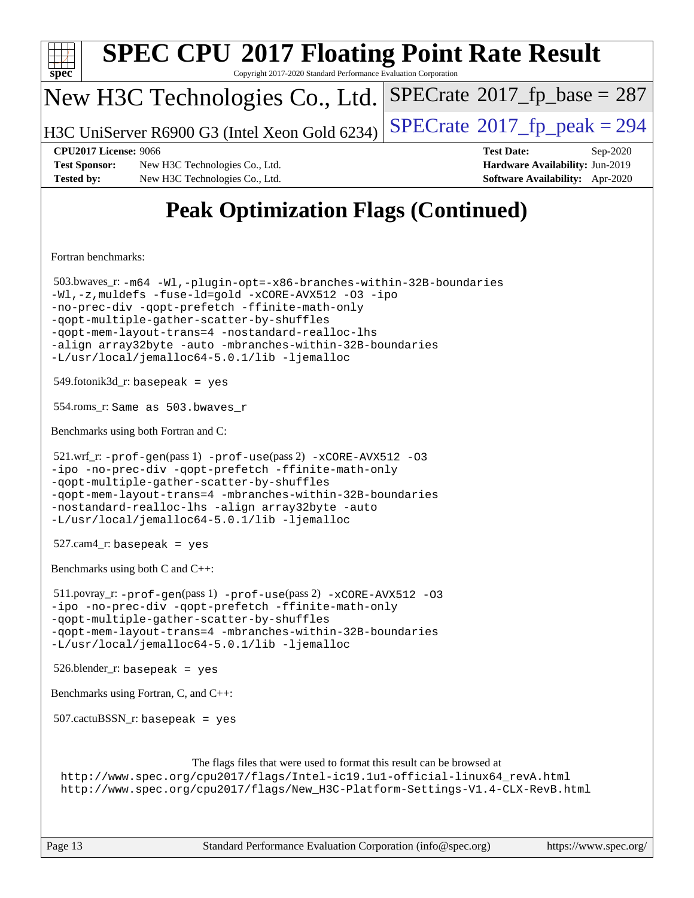| <b>SPEC CPU®2017 Floating Point Rate Result</b><br>spec<br>Copyright 2017-2020 Standard Performance Evaluation Corporation                                                                                                                                                                                                                                                                    |                                                                                                     |
|-----------------------------------------------------------------------------------------------------------------------------------------------------------------------------------------------------------------------------------------------------------------------------------------------------------------------------------------------------------------------------------------------|-----------------------------------------------------------------------------------------------------|
| New H3C Technologies Co., Ltd.                                                                                                                                                                                                                                                                                                                                                                | $SPECrate^{\circ}2017$ fp base = 287                                                                |
| H3C UniServer R6900 G3 (Intel Xeon Gold 6234)                                                                                                                                                                                                                                                                                                                                                 | $SPECTate@2017_fp\_peak = 294$                                                                      |
| <b>CPU2017 License: 9066</b><br><b>Test Sponsor:</b><br>New H3C Technologies Co., Ltd.<br><b>Tested by:</b><br>New H3C Technologies Co., Ltd.                                                                                                                                                                                                                                                 | <b>Test Date:</b><br>Sep-2020<br>Hardware Availability: Jun-2019<br>Software Availability: Apr-2020 |
| <b>Peak Optimization Flags (Continued)</b>                                                                                                                                                                                                                                                                                                                                                    |                                                                                                     |
| Fortran benchmarks:                                                                                                                                                                                                                                                                                                                                                                           |                                                                                                     |
| 503.bwaves_r:-m64 -Wl,-plugin-opt=-x86-branches-within-32B-boundaries<br>-Wl,-z, muldefs -fuse-ld=gold -xCORE-AVX512 -03 -ipo<br>-no-prec-div -qopt-prefetch -ffinite-math-only<br>-qopt-multiple-gather-scatter-by-shuffles<br>-gopt-mem-layout-trans=4 -nostandard-realloc-lhs<br>-align array32byte -auto -mbranches-within-32B-boundaries<br>-L/usr/local/jemalloc64-5.0.1/lib -ljemalloc |                                                                                                     |
| $549$ .fotonik $3d$ _r: basepeak = yes                                                                                                                                                                                                                                                                                                                                                        |                                                                                                     |
| 554.roms_r: Same as 503.bwaves_r                                                                                                                                                                                                                                                                                                                                                              |                                                                                                     |
| Benchmarks using both Fortran and C:                                                                                                                                                                                                                                                                                                                                                          |                                                                                                     |
| 521.wrf_r: -prof-gen(pass 1) -prof-use(pass 2) -xCORE-AVX512 -03<br>-ipo -no-prec-div -qopt-prefetch -ffinite-math-only<br>-qopt-multiple-qather-scatter-by-shuffles<br>-qopt-mem-layout-trans=4 -mbranches-within-32B-boundaries<br>-nostandard-realloc-lhs -align array32byte -auto<br>-L/usr/local/jemalloc64-5.0.1/lib -ljemalloc                                                         |                                                                                                     |
| $527$ .cam $4$ _r: basepeak = yes                                                                                                                                                                                                                                                                                                                                                             |                                                                                                     |
| Benchmarks using both C and C++:                                                                                                                                                                                                                                                                                                                                                              |                                                                                                     |
| $511.$ povray_r: -prof-gen(pass 1) -prof-use(pass 2) -xCORE-AVX512 -03<br>-ipo -no-prec-div -qopt-prefetch -ffinite-math-only<br>-qopt-multiple-gather-scatter-by-shuffles<br>-qopt-mem-layout-trans=4 -mbranches-within-32B-boundaries<br>-L/usr/local/jemalloc64-5.0.1/lib -ljemalloc                                                                                                       |                                                                                                     |
| $526.$ blender_r: basepeak = yes                                                                                                                                                                                                                                                                                                                                                              |                                                                                                     |
| Benchmarks using Fortran, C, and C++:                                                                                                                                                                                                                                                                                                                                                         |                                                                                                     |
| $507.cactuBSSN_r$ : basepeak = yes                                                                                                                                                                                                                                                                                                                                                            |                                                                                                     |
| The flags files that were used to format this result can be browsed at<br>http://www.spec.org/cpu2017/flags/Intel-ic19.1u1-official-linux64_revA.html<br>http://www.spec.org/cpu2017/flags/New_H3C-Platform-Settings-V1.4-CLX-RevB.html                                                                                                                                                       |                                                                                                     |